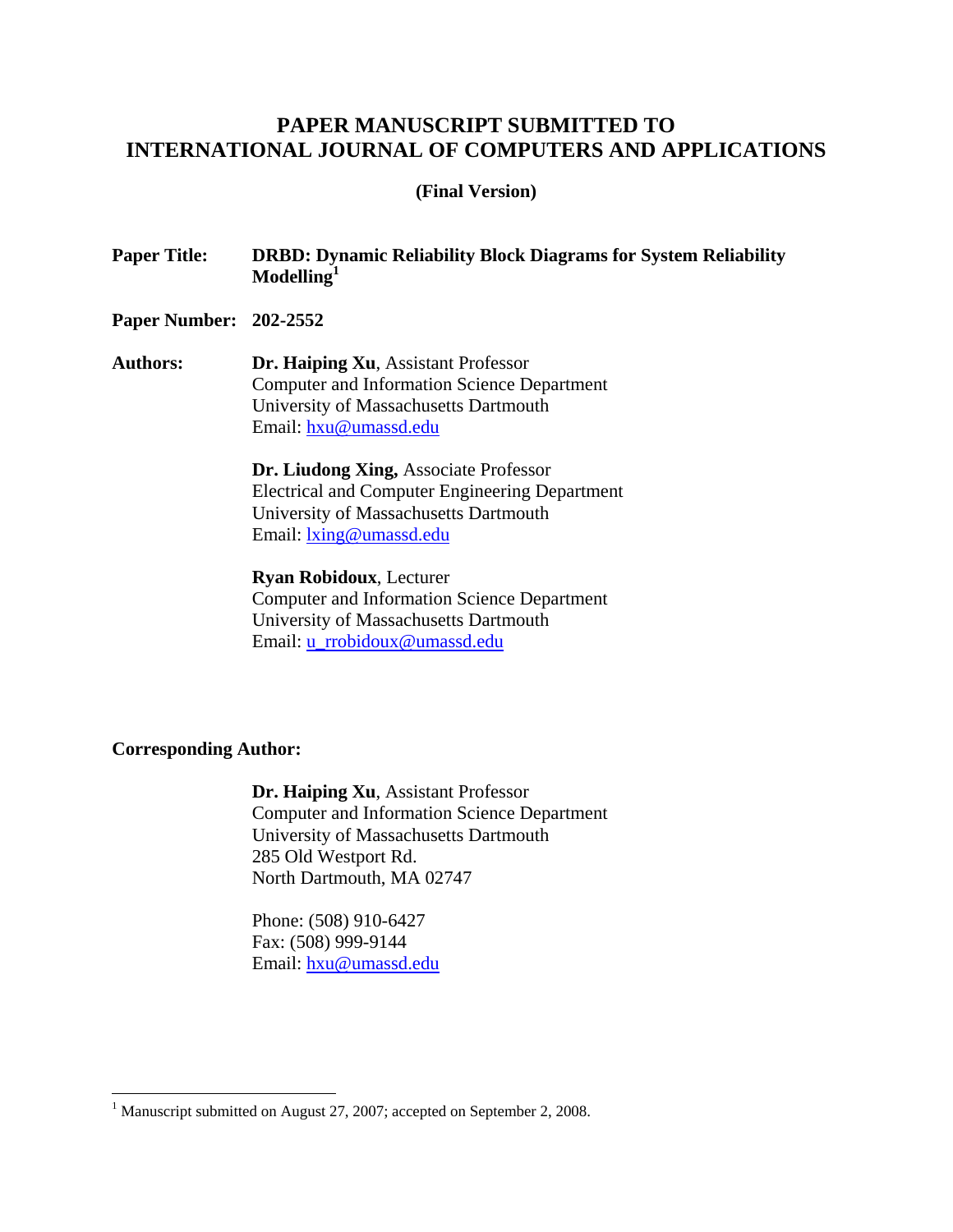# **PAPER MANUSCRIPT SUBMITTED TO INTERNATIONAL JOURNAL OF COMPUTERS AND APPLICATIONS**

**(Final Version)** 

**Paper Title: DRBD: Dynamic Reliability Block Diagrams for System Reliability Modellin[g1](#page-0-0)**

# **Paper Number: 202-2552**

**Authors: Dr. Haiping Xu**, Assistant Professor Computer and Information Science Department University of Massachusetts Dartmouth Email: [hxu@umassd.edu](mailto:hxu@umassd.edu)

> **Dr. Liudong Xing,** Associate Professor Electrical and Computer Engineering Department University of Massachusetts Dartmouth Email: [lxing@umassd.edu](mailto:lxing@umassd.edu)

**Ryan Robidoux**, Lecturer Computer and Information Science Department University of Massachusetts Dartmouth Email: [u\\_rrobidoux@umassd.edu](mailto:u_rrobidoux@umassd.edu)

# **Corresponding Author:**

 $\overline{a}$ 

**Dr. Haiping Xu**, Assistant Professor Computer and Information Science Department University of Massachusetts Dartmouth 285 Old Westport Rd. North Dartmouth, MA 02747

Phone: (508) 910-6427 Fax: (508) 999-9144 Email: [hxu@umassd.edu](mailto:hxu@umassd.edu)

<span id="page-0-0"></span><sup>&</sup>lt;sup>1</sup> Manuscript submitted on August 27, 2007; accepted on September 2, 2008.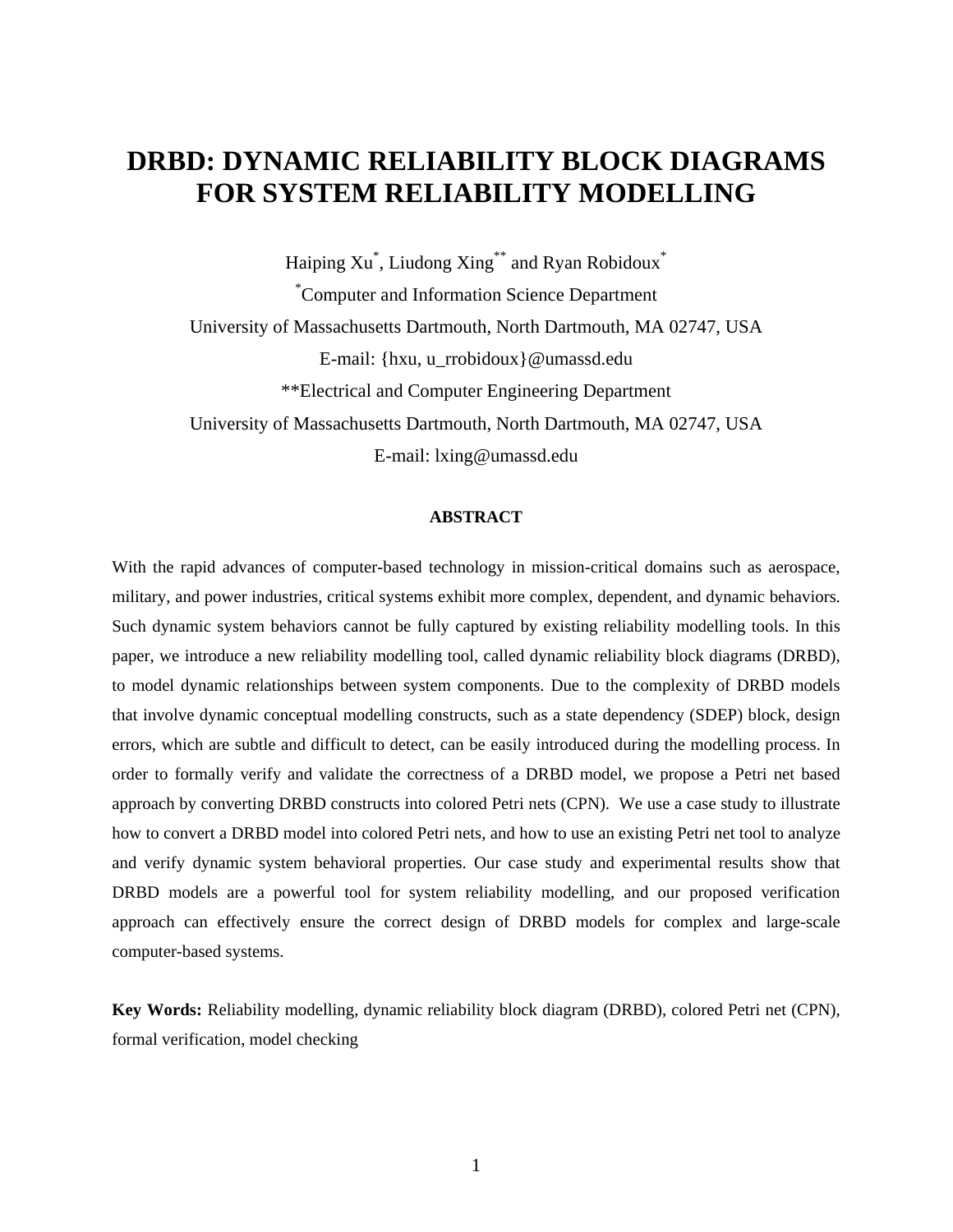# **DRBD: DYNAMIC RELIABILITY BLOCK DIAGRAMS FOR SYSTEM RELIABILITY MODELLING**

Haiping Xu\* , Liudong Xing\*\* and Ryan Robidoux\*

\* Computer and Information Science Department University of Massachusetts Dartmouth, North Dartmouth, MA 02747, USA E-mail: {hxu, u\_rrobidoux}@umassd.edu \*\*Electrical and Computer Engineering Department

University of Massachusetts Dartmouth, North Dartmouth, MA 02747, USA

E-mail: lxing@umassd.edu

#### **ABSTRACT**

With the rapid advances of computer-based technology in mission-critical domains such as aerospace, military, and power industries, critical systems exhibit more complex, dependent, and dynamic behaviors. Such dynamic system behaviors cannot be fully captured by existing reliability modelling tools. In this paper, we introduce a new reliability modelling tool, called dynamic reliability block diagrams (DRBD), to model dynamic relationships between system components. Due to the complexity of DRBD models that involve dynamic conceptual modelling constructs, such as a state dependency (SDEP) block, design errors, which are subtle and difficult to detect, can be easily introduced during the modelling process. In order to formally verify and validate the correctness of a DRBD model, we propose a Petri net based approach by converting DRBD constructs into colored Petri nets (CPN). We use a case study to illustrate how to convert a DRBD model into colored Petri nets, and how to use an existing Petri net tool to analyze and verify dynamic system behavioral properties. Our case study and experimental results show that DRBD models are a powerful tool for system reliability modelling, and our proposed verification approach can effectively ensure the correct design of DRBD models for complex and large-scale computer-based systems.

**Key Words:** Reliability modelling, dynamic reliability block diagram (DRBD), colored Petri net (CPN), formal verification, model checking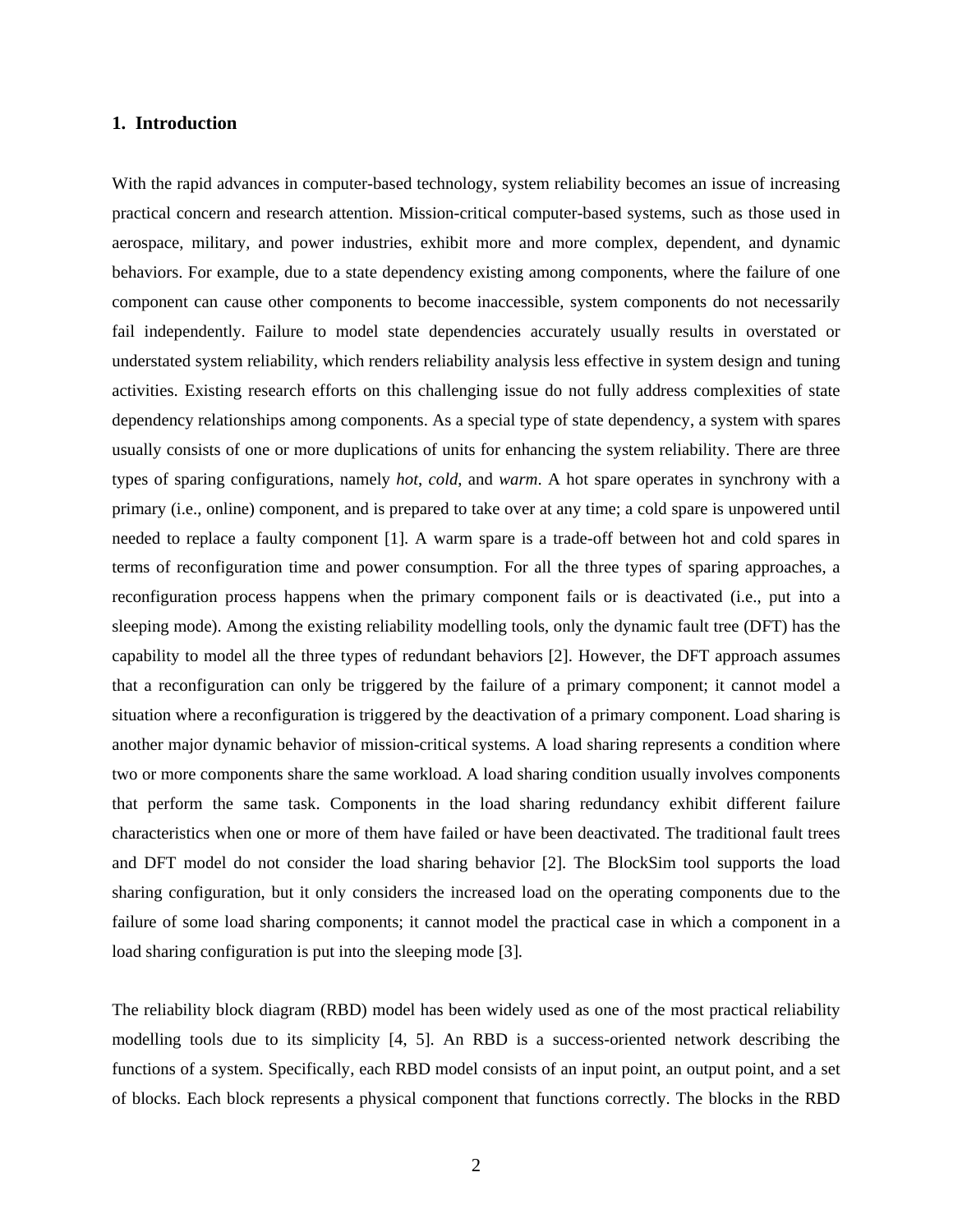#### **1. Introduction**

With the rapid advances in computer-based technology, system reliability becomes an issue of increasing practical concern and research attention. Mission-critical computer-based systems, such as those used in aerospace, military, and power industries, exhibit more and more complex, dependent, and dynamic behaviors. For example, due to a state dependency existing among components, where the failure of one component can cause other components to become inaccessible, system components do not necessarily fail independently. Failure to model state dependencies accurately usually results in overstated or understated system reliability, which renders reliability analysis less effective in system design and tuning activities. Existing research efforts on this challenging issue do not fully address complexities of state dependency relationships among components. As a special type of state dependency, a system with spares usually consists of one or more duplications of units for enhancing the system reliability. There are three types of sparing configurations, namely *hot*, *cold*, and *warm*. A hot spare operates in synchrony with a primary (i.e., online) component, and is prepared to take over at any time; a cold spare is unpowered until needed to replace a faulty component [1]. A warm spare is a trade-off between hot and cold spares in terms of reconfiguration time and power consumption. For all the three types of sparing approaches, a reconfiguration process happens when the primary component fails or is deactivated (i.e., put into a sleeping mode). Among the existing reliability modelling tools, only the dynamic fault tree (DFT) has the capability to model all the three types of redundant behaviors [2]. However, the DFT approach assumes that a reconfiguration can only be triggered by the failure of a primary component; it cannot model a situation where a reconfiguration is triggered by the deactivation of a primary component. Load sharing is another major dynamic behavior of mission-critical systems. A load sharing represents a condition where two or more components share the same workload. A load sharing condition usually involves components that perform the same task. Components in the load sharing redundancy exhibit different failure characteristics when one or more of them have failed or have been deactivated. The traditional fault trees and DFT model do not consider the load sharing behavior [2]. The BlockSim tool supports the load sharing configuration, but it only considers the increased load on the operating components due to the failure of some load sharing components; it cannot model the practical case in which a component in a load sharing configuration is put into the sleeping mode [3].

The reliability block diagram (RBD) model has been widely used as one of the most practical reliability modelling tools due to its simplicity [4, 5]. An RBD is a success-oriented network describing the functions of a system. Specifically, each RBD model consists of an input point, an output point, and a set of blocks. Each block represents a physical component that functions correctly. The blocks in the RBD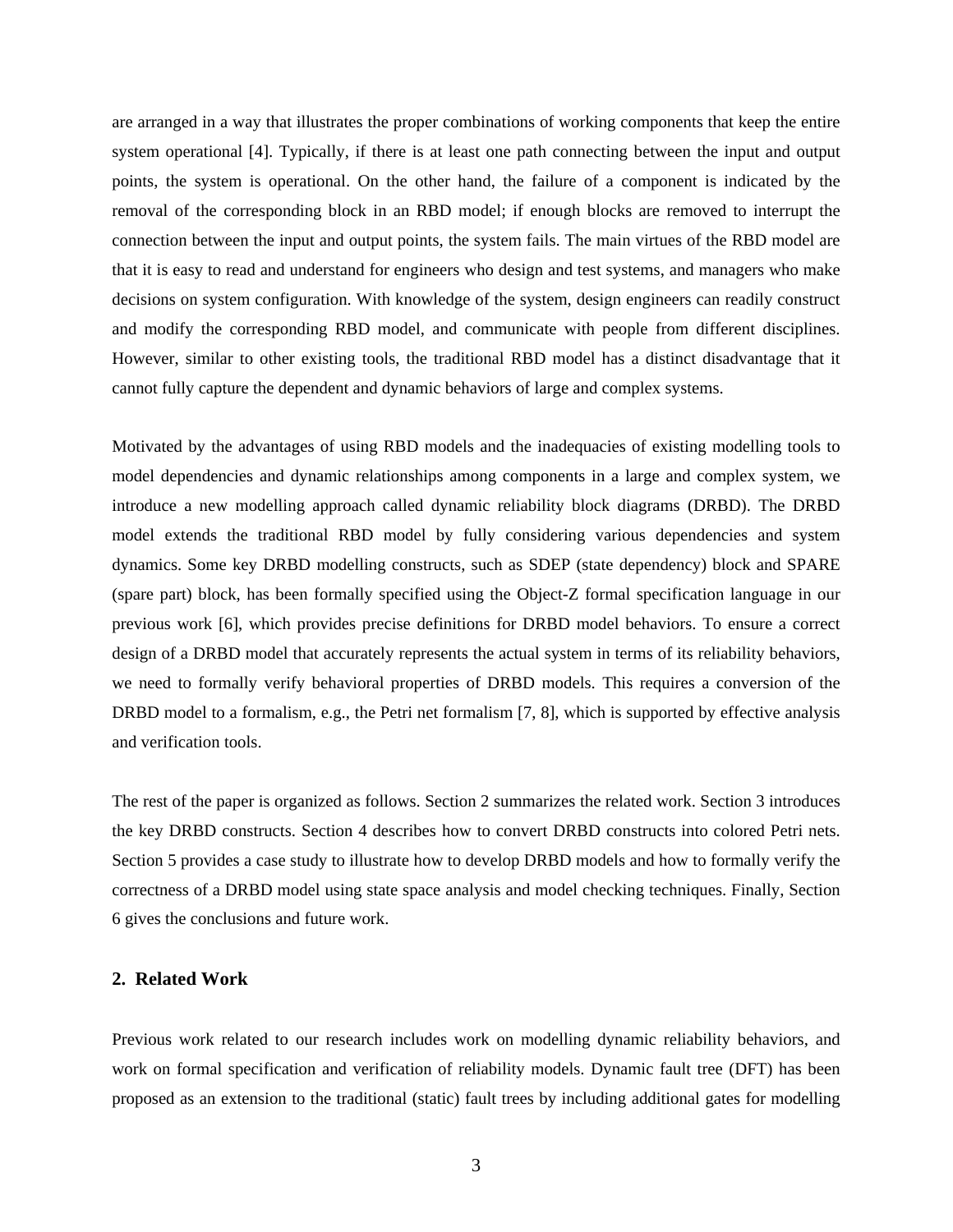are arranged in a way that illustrates the proper combinations of working components that keep the entire system operational [4]. Typically, if there is at least one path connecting between the input and output points, the system is operational. On the other hand, the failure of a component is indicated by the removal of the corresponding block in an RBD model; if enough blocks are removed to interrupt the connection between the input and output points, the system fails. The main virtues of the RBD model are that it is easy to read and understand for engineers who design and test systems, and managers who make decisions on system configuration. With knowledge of the system, design engineers can readily construct and modify the corresponding RBD model, and communicate with people from different disciplines. However, similar to other existing tools, the traditional RBD model has a distinct disadvantage that it cannot fully capture the dependent and dynamic behaviors of large and complex systems.

Motivated by the advantages of using RBD models and the inadequacies of existing modelling tools to model dependencies and dynamic relationships among components in a large and complex system, we introduce a new modelling approach called dynamic reliability block diagrams (DRBD). The DRBD model extends the traditional RBD model by fully considering various dependencies and system dynamics. Some key DRBD modelling constructs, such as SDEP (state dependency) block and SPARE (spare part) block, has been formally specified using the Object-Z formal specification language in our previous work [6], which provides precise definitions for DRBD model behaviors. To ensure a correct design of a DRBD model that accurately represents the actual system in terms of its reliability behaviors, we need to formally verify behavioral properties of DRBD models. This requires a conversion of the DRBD model to a formalism, e.g., the Petri net formalism [7, 8], which is supported by effective analysis and verification tools.

The rest of the paper is organized as follows. Section 2 summarizes the related work. Section 3 introduces the key DRBD constructs. Section 4 describes how to convert DRBD constructs into colored Petri nets. Section 5 provides a case study to illustrate how to develop DRBD models and how to formally verify the correctness of a DRBD model using state space analysis and model checking techniques. Finally, Section 6 gives the conclusions and future work.

# **2. Related Work**

Previous work related to our research includes work on modelling dynamic reliability behaviors, and work on formal specification and verification of reliability models. Dynamic fault tree (DFT) has been proposed as an extension to the traditional (static) fault trees by including additional gates for modelling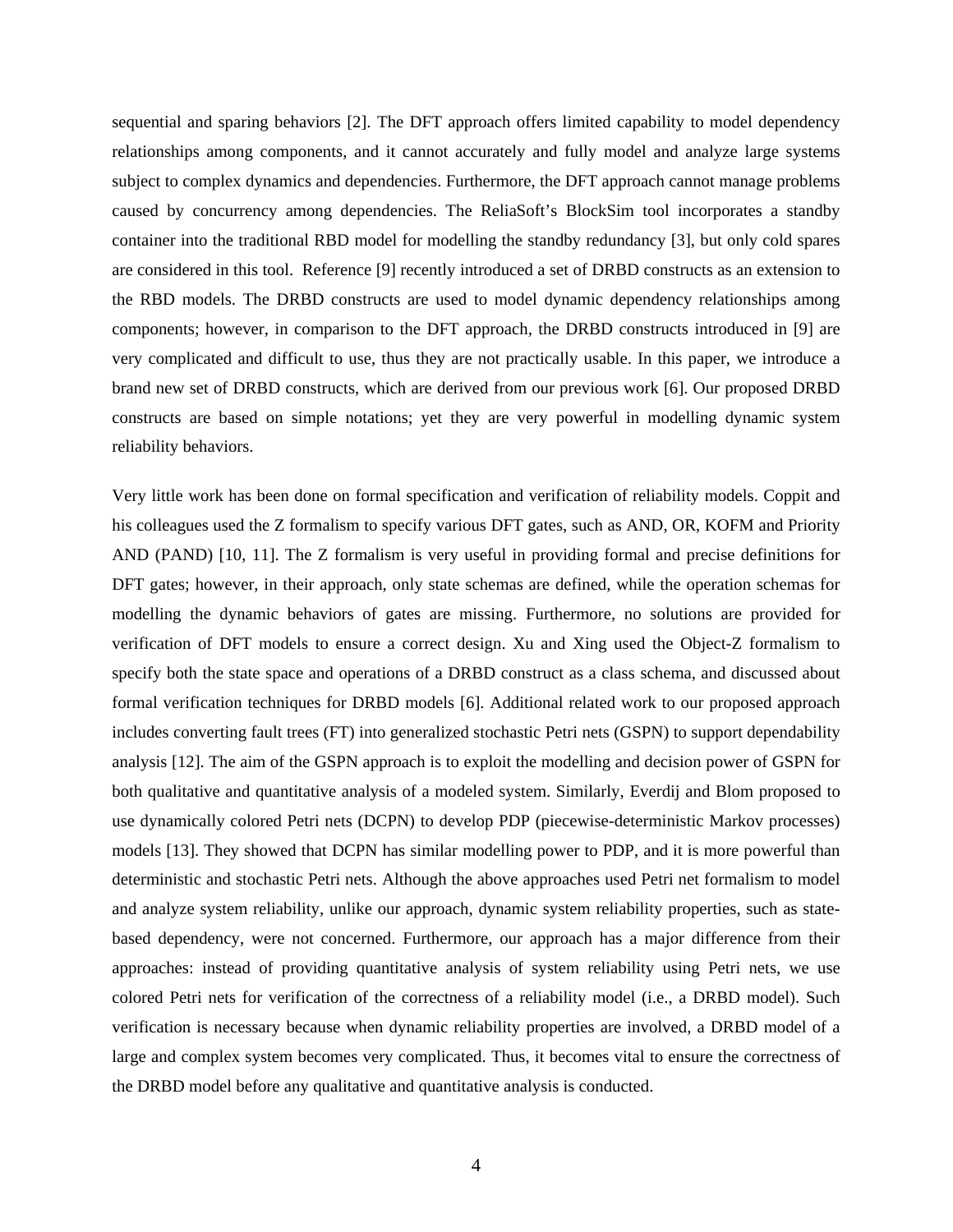sequential and sparing behaviors [2]. The DFT approach offers limited capability to model dependency relationships among components, and it cannot accurately and fully model and analyze large systems subject to complex dynamics and dependencies. Furthermore, the DFT approach cannot manage problems caused by concurrency among dependencies. The ReliaSoft's BlockSim tool incorporates a standby container into the traditional RBD model for modelling the standby redundancy [3], but only cold spares are considered in this tool. Reference [9] recently introduced a set of DRBD constructs as an extension to the RBD models. The DRBD constructs are used to model dynamic dependency relationships among components; however, in comparison to the DFT approach, the DRBD constructs introduced in [9] are very complicated and difficult to use, thus they are not practically usable. In this paper, we introduce a brand new set of DRBD constructs, which are derived from our previous work [6]. Our proposed DRBD constructs are based on simple notations; yet they are very powerful in modelling dynamic system reliability behaviors.

Very little work has been done on formal specification and verification of reliability models. Coppit and his colleagues used the Z formalism to specify various DFT gates, such as AND, OR, KOFM and Priority AND (PAND) [10, 11]. The Z formalism is very useful in providing formal and precise definitions for DFT gates; however, in their approach, only state schemas are defined, while the operation schemas for modelling the dynamic behaviors of gates are missing. Furthermore, no solutions are provided for verification of DFT models to ensure a correct design. Xu and Xing used the Object-Z formalism to specify both the state space and operations of a DRBD construct as a class schema, and discussed about formal verification techniques for DRBD models [6]. Additional related work to our proposed approach includes converting fault trees (FT) into generalized stochastic Petri nets (GSPN) to support dependability analysis [12]. The aim of the GSPN approach is to exploit the modelling and decision power of GSPN for both qualitative and quantitative analysis of a modeled system. Similarly, Everdij and Blom proposed to use dynamically colored Petri nets (DCPN) to develop PDP (piecewise-deterministic Markov processes) models [13]. They showed that DCPN has similar modelling power to PDP, and it is more powerful than deterministic and stochastic Petri nets. Although the above approaches used Petri net formalism to model and analyze system reliability, unlike our approach, dynamic system reliability properties, such as statebased dependency, were not concerned. Furthermore, our approach has a major difference from their approaches: instead of providing quantitative analysis of system reliability using Petri nets, we use colored Petri nets for verification of the correctness of a reliability model (i.e., a DRBD model). Such verification is necessary because when dynamic reliability properties are involved, a DRBD model of a large and complex system becomes very complicated. Thus, it becomes vital to ensure the correctness of the DRBD model before any qualitative and quantitative analysis is conducted.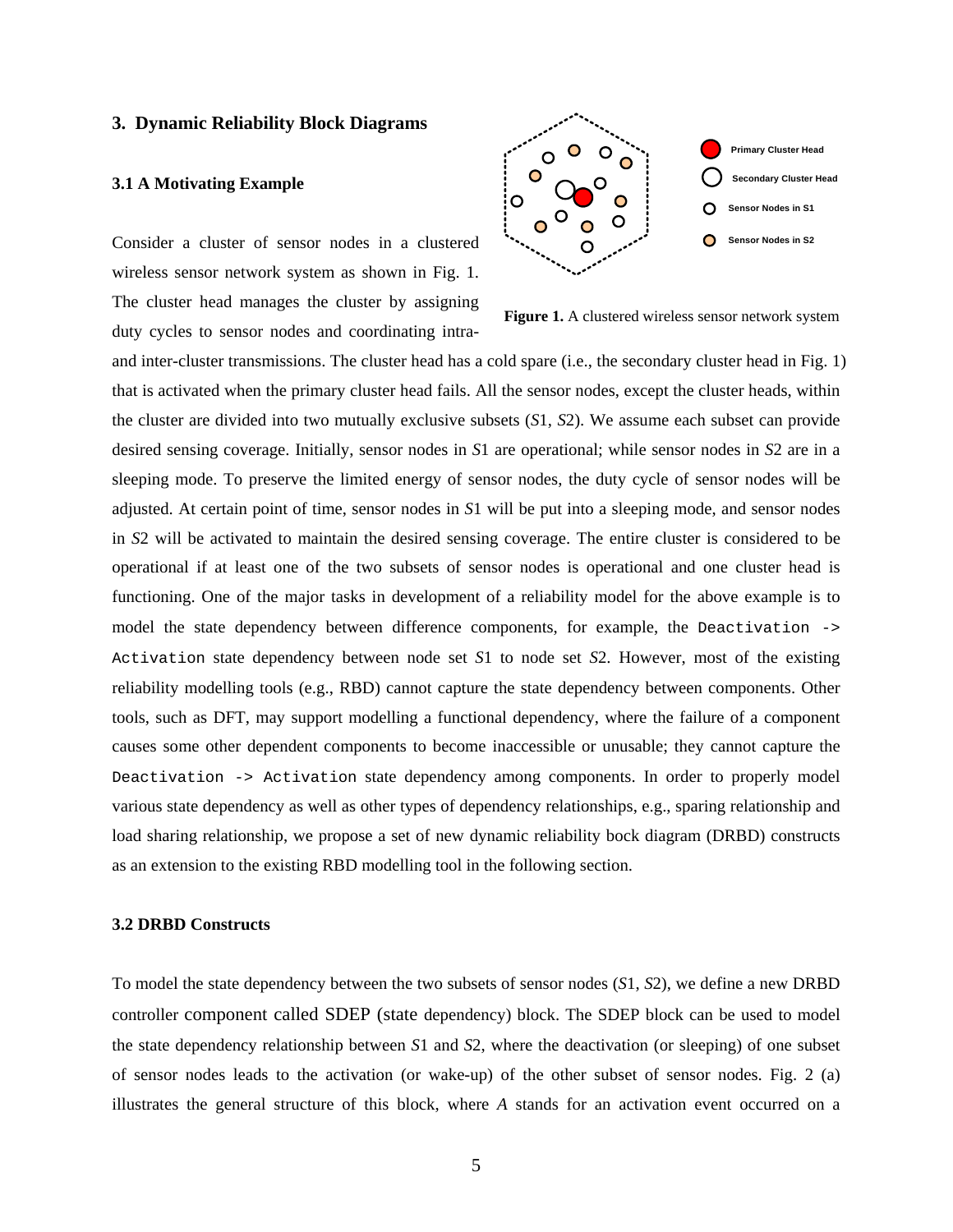#### **3. Dynamic Reliability Block Diagrams**

#### **3.1 A Motivating Example**

Consider a cluster of sensor nodes in a clustered wireless sensor network system as shown in Fig. 1. The cluster head manages the cluster by assigning duty cycles to sensor nodes and coordinating intra-



**Figure 1.** A clustered wireless sensor network system

and inter-cluster transmissions. The cluster head has a cold spare (i.e., the secondary cluster head in Fig. 1) that is activated when the primary cluster head fails. All the sensor nodes, except the cluster heads, within the cluster are divided into two mutually exclusive subsets (*S*1, *S*2). We assume each subset can provide desired sensing coverage. Initially, sensor nodes in *S*1 are operational; while sensor nodes in *S*2 are in a sleeping mode. To preserve the limited energy of sensor nodes, the duty cycle of sensor nodes will be adjusted. At certain point of time, sensor nodes in *S*1 will be put into a sleeping mode, and sensor nodes in *S*2 will be activated to maintain the desired sensing coverage. The entire cluster is considered to be operational if at least one of the two subsets of sensor nodes is operational and one cluster head is functioning. One of the major tasks in development of a reliability model for the above example is to model the state dependency between difference components, for example, the Deactivation -> Activation state dependency between node set *S*1 to node set *S*2. However, most of the existing reliability modelling tools (e.g., RBD) cannot capture the state dependency between components. Other tools, such as DFT, may support modelling a functional dependency, where the failure of a component causes some other dependent components to become inaccessible or unusable; they cannot capture the Deactivation -> Activation state dependency among components. In order to properly model various state dependency as well as other types of dependency relationships, e.g., sparing relationship and load sharing relationship, we propose a set of new dynamic reliability bock diagram (DRBD) constructs as an extension to the existing RBD modelling tool in the following section.

# **3.2 DRBD Constructs**

To model the state dependency between the two subsets of sensor nodes (*S*1, *S*2), we define a new DRBD controller component called SDEP (state dependency) block. The SDEP block can be used to model the state dependency relationship between *S*1 and *S*2, where the deactivation (or sleeping) of one subset of sensor nodes leads to the activation (or wake-up) of the other subset of sensor nodes. Fig. 2 (a) illustrates the general structure of this block, where *A* stands for an activation event occurred on a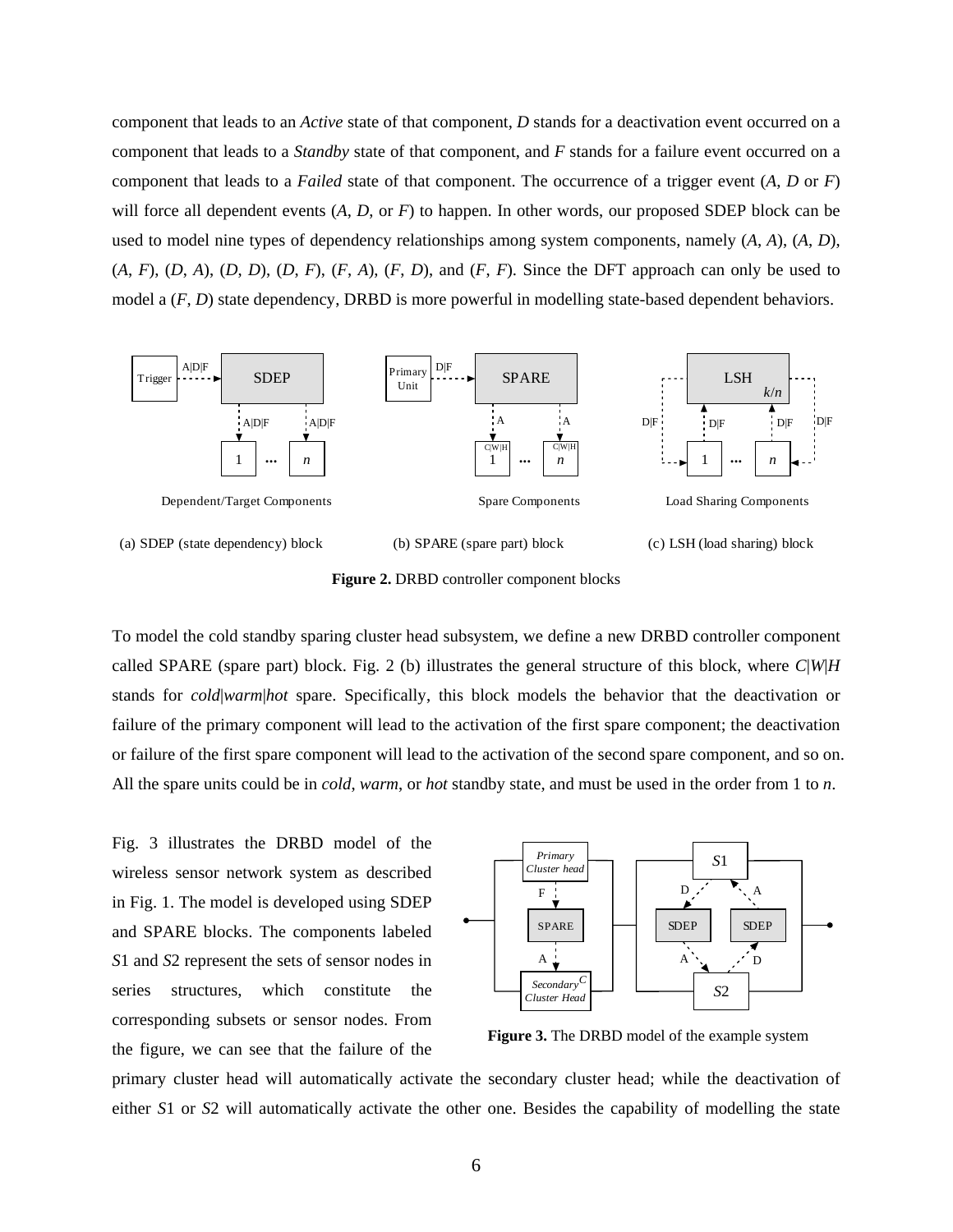component that leads to an *Active* state of that component, *D* stands for a deactivation event occurred on a component that leads to a *Standby* state of that component, and *F* stands for a failure event occurred on a component that leads to a *Failed* state of that component. The occurrence of a trigger event (*A*, *D* or *F*) will force all dependent events (*A*, *D*, or *F*) to happen. In other words, our proposed SDEP block can be used to model nine types of dependency relationships among system components, namely (*A*, *A*), (*A*, *D*), (*A*, *F*), (*D*, *A*), (*D*, *D*), (*D*, *F*), (*F*, *A*), (*F*, *D*), and (*F*, *F*). Since the DFT approach can only be used to model a  $(F, D)$  state dependency, DRBD is more powerful in modelling state-based dependent behaviors.



**Figure 2.** DRBD controller component blocks

To model the cold standby sparing cluster head subsystem, we define a new DRBD controller component called SPARE (spare part) block. Fig. 2 (b) illustrates the general structure of this block, where *C*|*W*|*H* stands for *cold*|*warm*|*hot* spare. Specifically, this block models the behavior that the deactivation or failure of the primary component will lead to the activation of the first spare component; the deactivation or failure of the first spare component will lead to the activation of the second spare component, and so on. All the spare units could be in *cold*, *warm*, or *hot* standby state, and must be used in the order from 1 to *n*.

Fig. 3 illustrates the DRBD model of the wireless sensor network system as described in Fig. 1. The model is developed using SDEP and SPARE blocks. The components labeled *S*1 and *S*2 represent the sets of sensor nodes in series structures, which constitute the corresponding subsets or sensor nodes. From the figure, we can see that the failure of the



**Figure 3.** The DRBD model of the example system

primary cluster head will automatically activate the secondary cluster head; while the deactivation of either *S*1 or *S*2 will automatically activate the other one. Besides the capability of modelling the state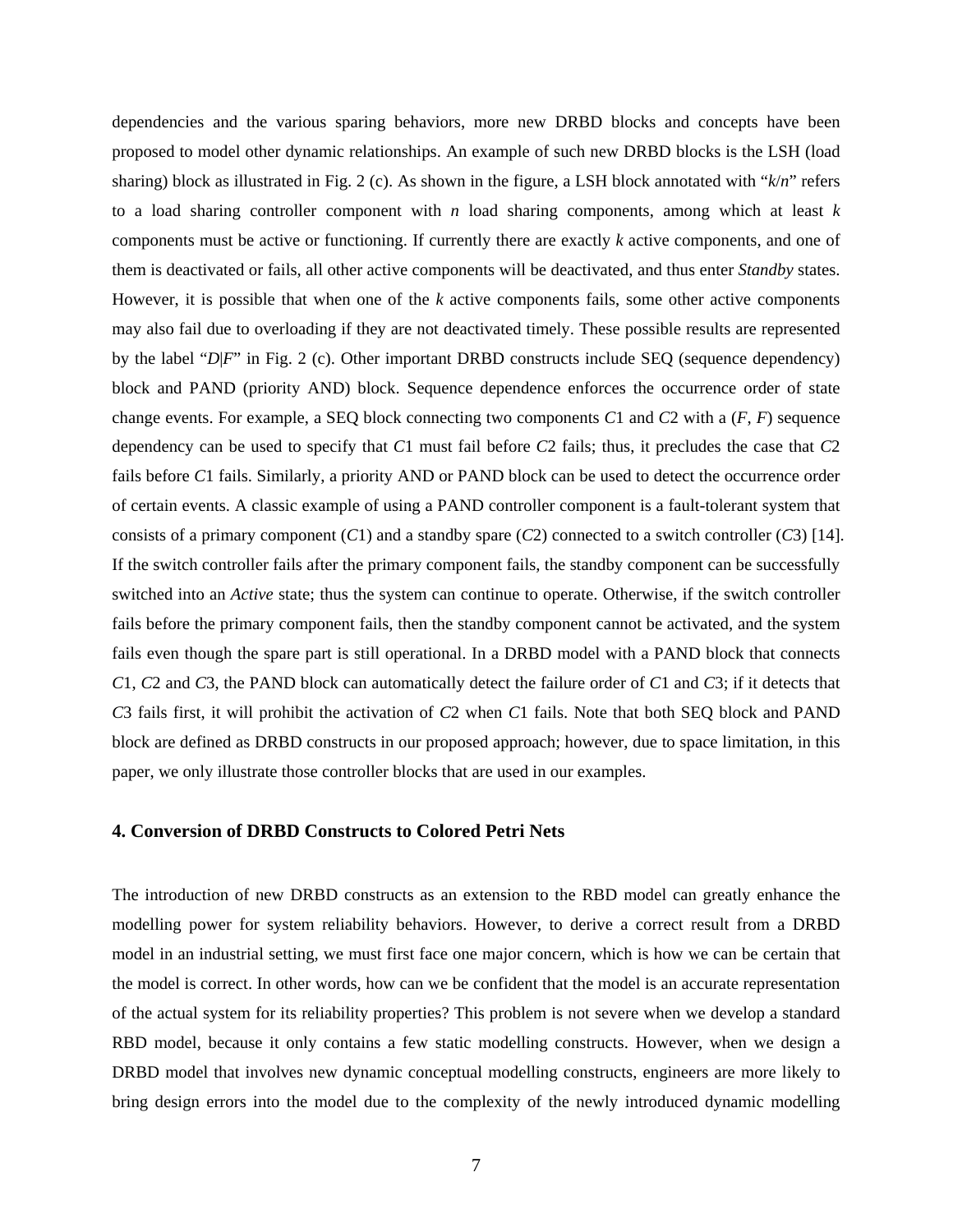dependencies and the various sparing behaviors, more new DRBD blocks and concepts have been proposed to model other dynamic relationships. An example of such new DRBD blocks is the LSH (load sharing) block as illustrated in Fig. 2 (c). As shown in the figure, a LSH block annotated with "*k*/*n*" refers to a load sharing controller component with *n* load sharing components, among which at least *k* components must be active or functioning. If currently there are exactly *k* active components, and one of them is deactivated or fails, all other active components will be deactivated, and thus enter *Standby* states. However, it is possible that when one of the *k* active components fails, some other active components may also fail due to overloading if they are not deactivated timely. These possible results are represented by the label "*D*|*F*" in Fig. 2 (c). Other important DRBD constructs include SEQ (sequence dependency) block and PAND (priority AND) block. Sequence dependence enforces the occurrence order of state change events. For example, a SEQ block connecting two components *C*1 and *C*2 with a (*F*, *F*) sequence dependency can be used to specify that *C*1 must fail before *C*2 fails; thus, it precludes the case that *C*2 fails before *C*1 fails. Similarly, a priority AND or PAND block can be used to detect the occurrence order of certain events. A classic example of using a PAND controller component is a fault-tolerant system that consists of a primary component (*C*1) and a standby spare (*C*2) connected to a switch controller (*C*3) [14]. If the switch controller fails after the primary component fails, the standby component can be successfully switched into an *Active* state; thus the system can continue to operate. Otherwise, if the switch controller fails before the primary component fails, then the standby component cannot be activated, and the system fails even though the spare part is still operational. In a DRBD model with a PAND block that connects *C*1, *C*2 and *C*3, the PAND block can automatically detect the failure order of *C*1 and *C*3; if it detects that *C*3 fails first, it will prohibit the activation of *C*2 when *C*1 fails. Note that both SEQ block and PAND block are defined as DRBD constructs in our proposed approach; however, due to space limitation, in this paper, we only illustrate those controller blocks that are used in our examples.

## **4. Conversion of DRBD Constructs to Colored Petri Nets**

The introduction of new DRBD constructs as an extension to the RBD model can greatly enhance the modelling power for system reliability behaviors. However, to derive a correct result from a DRBD model in an industrial setting, we must first face one major concern, which is how we can be certain that the model is correct. In other words, how can we be confident that the model is an accurate representation of the actual system for its reliability properties? This problem is not severe when we develop a standard RBD model, because it only contains a few static modelling constructs. However, when we design a DRBD model that involves new dynamic conceptual modelling constructs, engineers are more likely to bring design errors into the model due to the complexity of the newly introduced dynamic modelling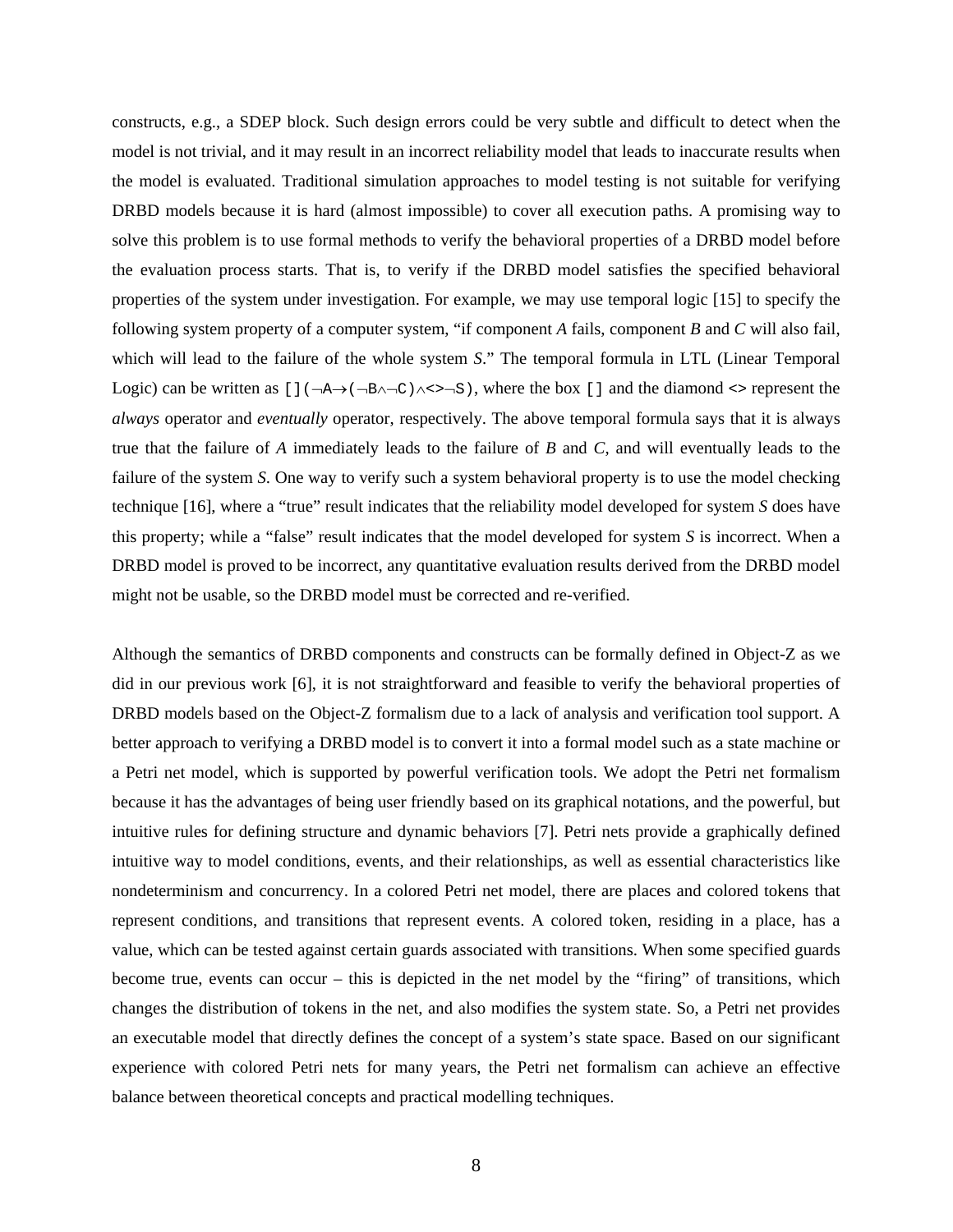constructs, e.g., a SDEP block. Such design errors could be very subtle and difficult to detect when the model is not trivial, and it may result in an incorrect reliability model that leads to inaccurate results when the model is evaluated. Traditional simulation approaches to model testing is not suitable for verifying DRBD models because it is hard (almost impossible) to cover all execution paths. A promising way to solve this problem is to use formal methods to verify the behavioral properties of a DRBD model before the evaluation process starts. That is, to verify if the DRBD model satisfies the specified behavioral properties of the system under investigation. For example, we may use temporal logic [15] to specify the following system property of a computer system, "if component *A* fails, component *B* and *C* will also fail, which will lead to the failure of the whole system *S*." The temporal formula in LTL (Linear Temporal Logic) can be written as  $[ ] (\neg A \rightarrow (\neg B \land \neg C) \land \neg S)$ , where the box  $[ ]$  and the diamond  $\langle \neg C \rangle$  represent the *always* operator and *eventually* operator, respectively. The above temporal formula says that it is always true that the failure of *A* immediately leads to the failure of *B* and *C*, and will eventually leads to the failure of the system *S*. One way to verify such a system behavioral property is to use the model checking technique [16], where a "true" result indicates that the reliability model developed for system *S* does have this property; while a "false" result indicates that the model developed for system *S* is incorrect. When a DRBD model is proved to be incorrect, any quantitative evaluation results derived from the DRBD model might not be usable, so the DRBD model must be corrected and re-verified.

Although the semantics of DRBD components and constructs can be formally defined in Object-Z as we did in our previous work [6], it is not straightforward and feasible to verify the behavioral properties of DRBD models based on the Object-Z formalism due to a lack of analysis and verification tool support. A better approach to verifying a DRBD model is to convert it into a formal model such as a state machine or a Petri net model, which is supported by powerful verification tools. We adopt the Petri net formalism because it has the advantages of being user friendly based on its graphical notations, and the powerful, but intuitive rules for defining structure and dynamic behaviors [7]. Petri nets provide a graphically defined intuitive way to model conditions, events, and their relationships, as well as essential characteristics like nondeterminism and concurrency. In a colored Petri net model, there are places and colored tokens that represent conditions, and transitions that represent events. A colored token, residing in a place, has a value, which can be tested against certain guards associated with transitions. When some specified guards become true, events can occur – this is depicted in the net model by the "firing" of transitions, which changes the distribution of tokens in the net, and also modifies the system state. So, a Petri net provides an executable model that directly defines the concept of a system's state space. Based on our significant experience with colored Petri nets for many years, the Petri net formalism can achieve an effective balance between theoretical concepts and practical modelling techniques.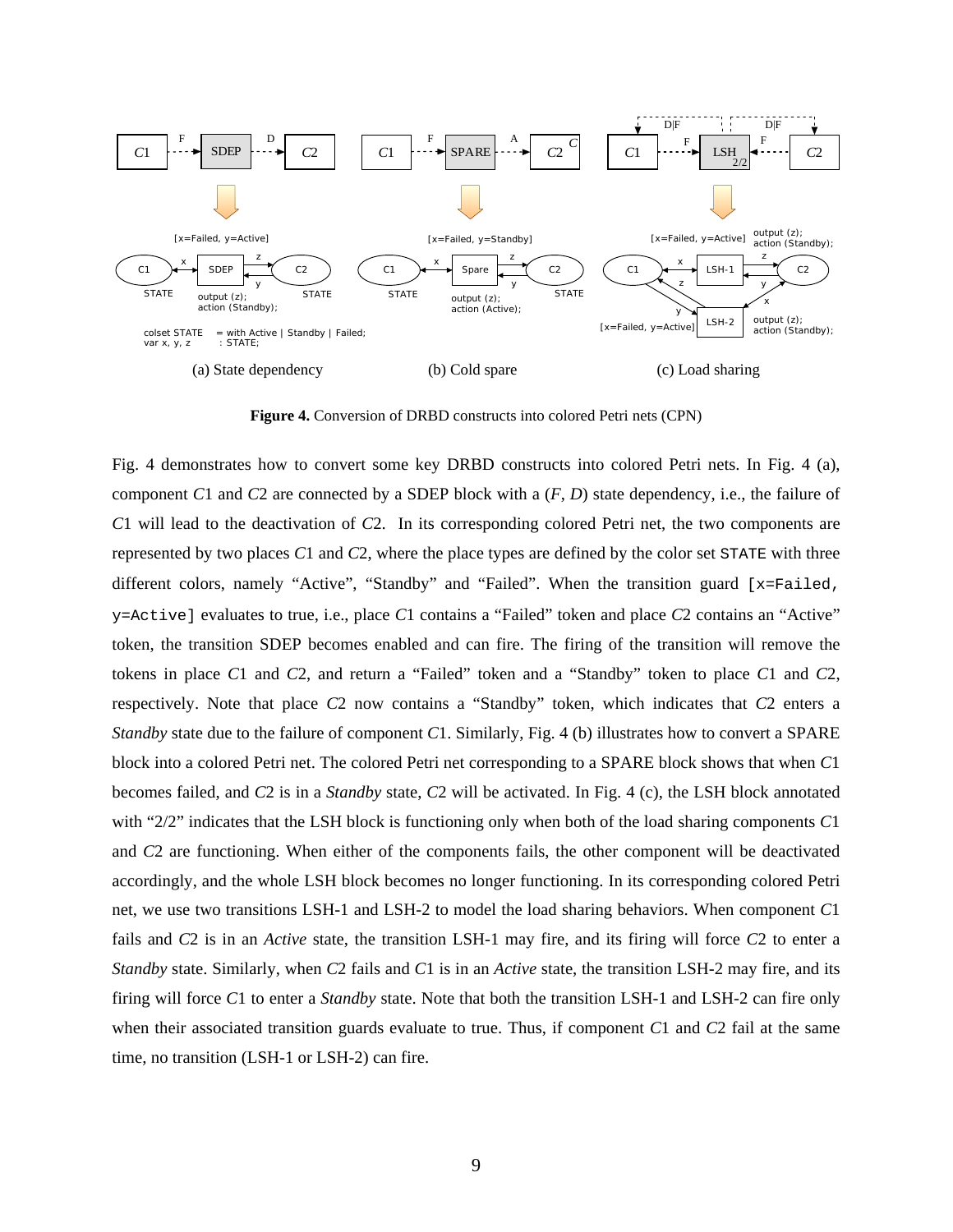

**Figure 4.** Conversion of DRBD constructs into colored Petri nets (CPN)

Fig. 4 demonstrates how to convert some key DRBD constructs into colored Petri nets. In Fig. 4 (a), component *C*1 and *C*2 are connected by a SDEP block with a (*F*, *D*) state dependency, i.e., the failure of *C*1 will lead to the deactivation of *C*2. In its corresponding colored Petri net, the two components are represented by two places *C*1 and *C*2, where the place types are defined by the color set STATE with three different colors, namely "Active", "Standby" and "Failed". When the transition guard [x=Failed, y=Active] evaluates to true, i.e., place *C*1 contains a "Failed" token and place *C*2 contains an "Active" token, the transition SDEP becomes enabled and can fire. The firing of the transition will remove the tokens in place *C*1 and *C*2, and return a "Failed" token and a "Standby" token to place *C*1 and *C*2, respectively. Note that place *C*2 now contains a "Standby" token, which indicates that *C*2 enters a *Standby* state due to the failure of component *C*1. Similarly, Fig. 4 (b) illustrates how to convert a SPARE block into a colored Petri net. The colored Petri net corresponding to a SPARE block shows that when *C*1 becomes failed, and *C*2 is in a *Standby* state, *C*2 will be activated. In Fig. 4 (c), the LSH block annotated with "2/2" indicates that the LSH block is functioning only when both of the load sharing components *C*1 and *C*2 are functioning. When either of the components fails, the other component will be deactivated accordingly, and the whole LSH block becomes no longer functioning. In its corresponding colored Petri net, we use two transitions LSH-1 and LSH-2 to model the load sharing behaviors. When component *C*1 fails and *C*2 is in an *Active* state, the transition LSH-1 may fire, and its firing will force *C*2 to enter a *Standby* state. Similarly, when *C*2 fails and *C*1 is in an *Active* state, the transition LSH-2 may fire, and its firing will force *C*1 to enter a *Standby* state. Note that both the transition LSH-1 and LSH-2 can fire only when their associated transition guards evaluate to true. Thus, if component *C*1 and *C*2 fail at the same time, no transition (LSH-1 or LSH-2) can fire.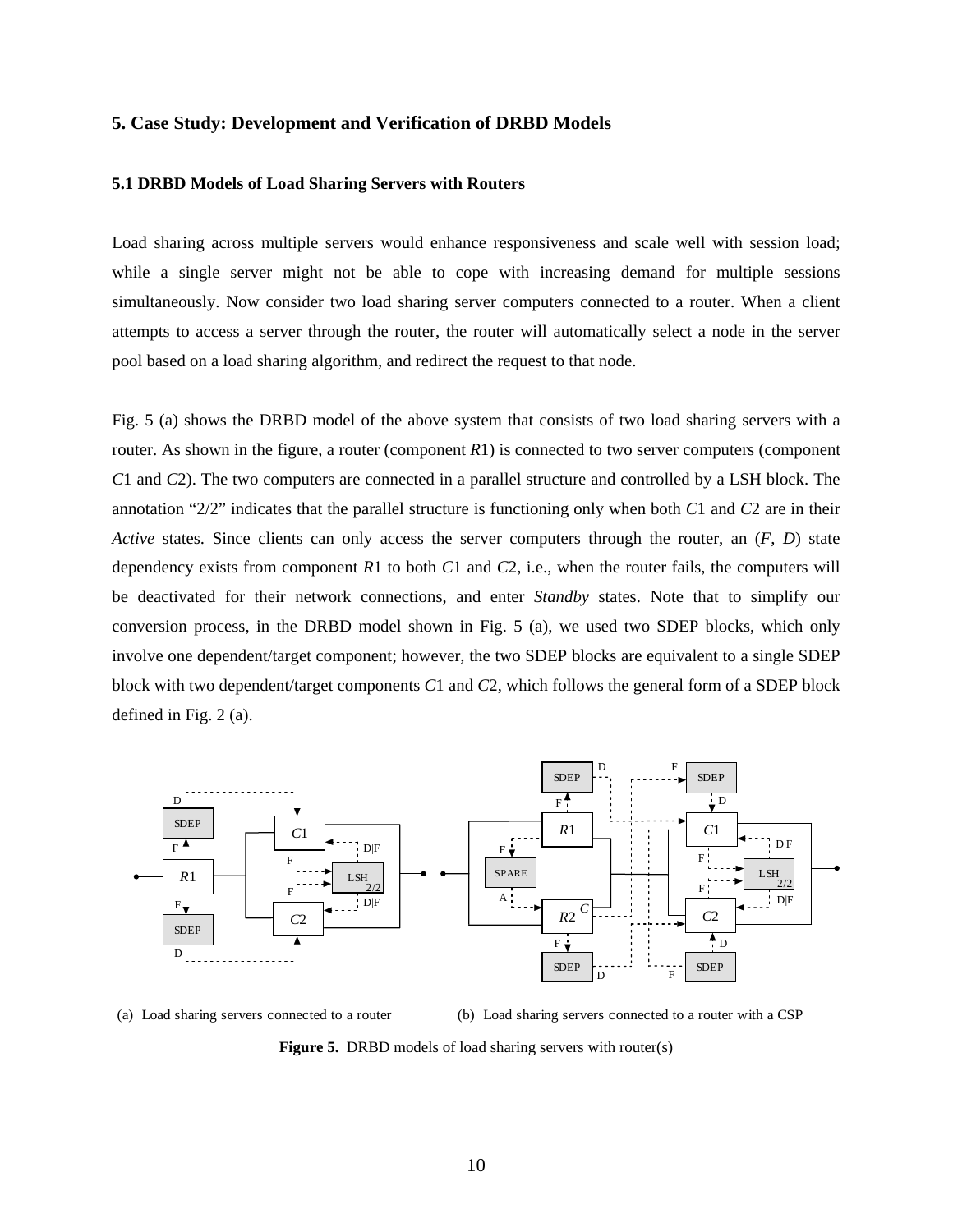## **5. Case Study: Development and Verification of DRBD Models**

#### **5.1 DRBD Models of Load Sharing Servers with Routers**

Load sharing across multiple servers would enhance responsiveness and scale well with session load; while a single server might not be able to cope with increasing demand for multiple sessions simultaneously. Now consider two load sharing server computers connected to a router. When a client attempts to access a server through the router, the router will automatically select a node in the server pool based on a load sharing algorithm, and redirect the request to that node.

Fig. 5 (a) shows the DRBD model of the above system that consists of two load sharing servers with a router. As shown in the figure, a router (component *R*1) is connected to two server computers (component *C*1 and *C*2). The two computers are connected in a parallel structure and controlled by a LSH block. The annotation "2/2" indicates that the parallel structure is functioning only when both *C*1 and *C*2 are in their *Active* states. Since clients can only access the server computers through the router, an (*F*, *D*) state dependency exists from component *R*1 to both *C*1 and *C*2, i.e., when the router fails, the computers will be deactivated for their network connections, and enter *Standby* states. Note that to simplify our conversion process, in the DRBD model shown in Fig. 5 (a), we used two SDEP blocks, which only involve one dependent/target component; however, the two SDEP blocks are equivalent to a single SDEP block with two dependent/target components *C*1 and *C*2, which follows the general form of a SDEP block defined in Fig. 2 (a).



(a) Load sharing servers connected to a router (b) Load sharing servers connected to a router with a CSP

**Figure 5.** DRBD models of load sharing servers with router(s)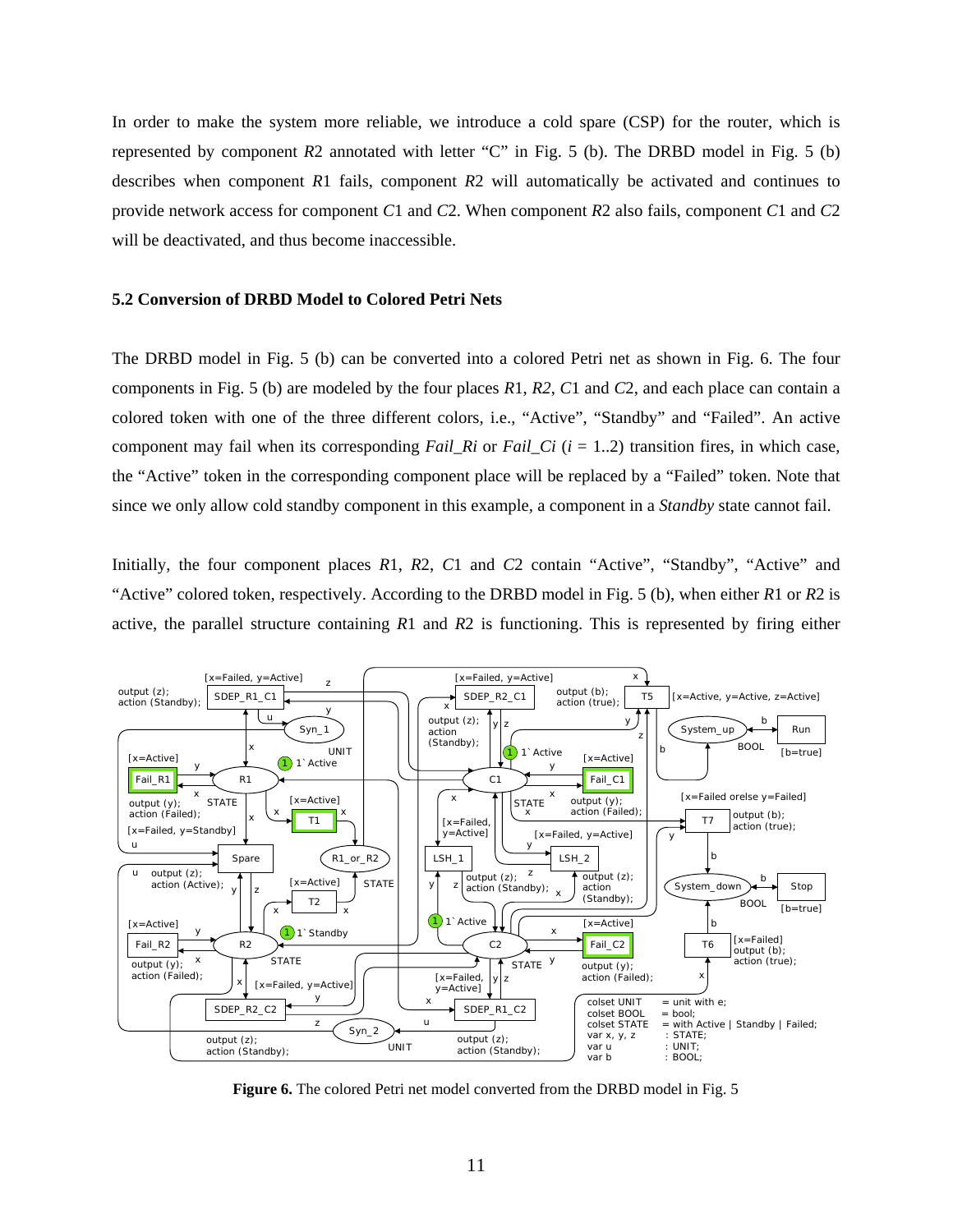In order to make the system more reliable, we introduce a cold spare (CSP) for the router, which is represented by component *R*2 annotated with letter "C" in Fig. 5 (b). The DRBD model in Fig. 5 (b) describes when component *R*1 fails, component *R*2 will automatically be activated and continues to provide network access for component *C*1 and *C*2. When component *R*2 also fails, component *C*1 and *C*2 will be deactivated, and thus become inaccessible.

#### **5.2 Conversion of DRBD Model to Colored Petri Nets**

The DRBD model in Fig. 5 (b) can be converted into a colored Petri net as shown in Fig. 6. The four components in Fig. 5 (b) are modeled by the four places *R*1, *R2*, *C*1 and *C*2, and each place can contain a colored token with one of the three different colors, i.e., "Active", "Standby" and "Failed". An active component may fail when its corresponding *Fail Ri* or *Fail Ci* ( $i = 1..2$ ) transition fires, in which case, the "Active" token in the corresponding component place will be replaced by a "Failed" token. Note that since we only allow cold standby component in this example, a component in a *Standby* state cannot fail.

Initially, the four component places *R*1, *R*2, *C*1 and *C*2 contain "Active", "Standby", "Active" and "Active" colored token, respectively. According to the DRBD model in Fig. 5 (b), when either *R*1 or *R*2 is active, the parallel structure containing *R*1 and *R*2 is functioning. This is represented by firing either



**Figure 6.** The colored Petri net model converted from the DRBD model in Fig. 5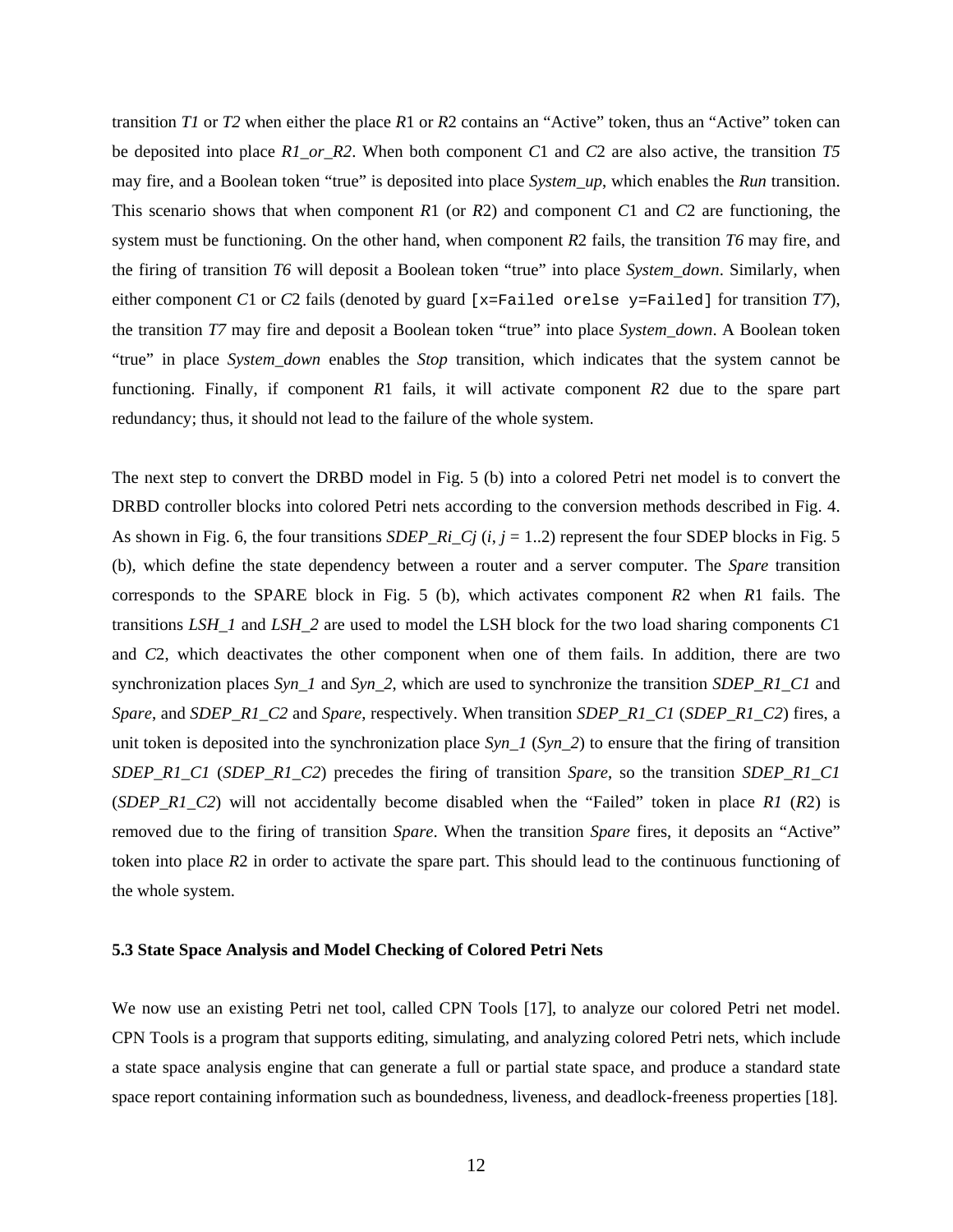transition *T1* or *T2* when either the place *R*1 or *R*2 contains an "Active" token, thus an "Active" token can be deposited into place *R1\_or\_R2*. When both component *C*1 and *C*2 are also active, the transition *T5* may fire, and a Boolean token "true" is deposited into place *System\_up*, which enables the *Run* transition. This scenario shows that when component *R*1 (or *R*2) and component *C*1 and *C*2 are functioning, the system must be functioning. On the other hand, when component *R*2 fails, the transition *T6* may fire, and the firing of transition *T6* will deposit a Boolean token "true" into place *System\_down*. Similarly, when either component *C*1 or *C*2 fails (denoted by guard [x=Failed orelse y=Failed] for transition  $T7$ ), the transition *T7* may fire and deposit a Boolean token "true" into place *System\_down*. A Boolean token "true" in place *System\_down* enables the *Stop* transition, which indicates that the system cannot be functioning. Finally, if component *R*1 fails, it will activate component *R*2 due to the spare part redundancy; thus, it should not lead to the failure of the whole system.

The next step to convert the DRBD model in Fig. 5 (b) into a colored Petri net model is to convert the DRBD controller blocks into colored Petri nets according to the conversion methods described in Fig. 4. As shown in Fig. 6, the four transitions *SDEP\_Ri\_Cj* (*i*, *j* = 1..2) represent the four SDEP blocks in Fig. 5 (b), which define the state dependency between a router and a server computer. The *Spare* transition corresponds to the SPARE block in Fig. 5 (b), which activates component *R*2 when *R*1 fails. The transitions *LSH\_1* and *LSH\_2* are used to model the LSH block for the two load sharing components *C*1 and *C*2, which deactivates the other component when one of them fails. In addition, there are two synchronization places *Syn\_1* and *Syn\_2*, which are used to synchronize the transition *SDEP\_R1\_C1* and *Spare*, and *SDEP\_R1\_C2* and *Spare*, respectively. When transition *SDEP\_R1\_C1* (*SDEP\_R1\_C2*) fires, a unit token is deposited into the synchronization place *Syn\_1* (*Syn\_2*) to ensure that the firing of transition *SDEP\_R1\_C1* (*SDEP\_R1\_C2*) precedes the firing of transition *Spare*, so the transition *SDEP\_R1\_C1* (*SDEP\_R1\_C2*) will not accidentally become disabled when the "Failed" token in place *R1* (*R*2) is removed due to the firing of transition *Spare*. When the transition *Spare* fires, it deposits an "Active" token into place *R*2 in order to activate the spare part. This should lead to the continuous functioning of the whole system.

#### **5.3 State Space Analysis and Model Checking of Colored Petri Nets**

We now use an existing Petri net tool, called CPN Tools [17], to analyze our colored Petri net model. CPN Tools is a program that supports editing, simulating, and analyzing colored Petri nets, which include a state space analysis engine that can generate a full or partial state space, and produce a standard state space report containing information such as boundedness, liveness, and deadlock-freeness properties [18].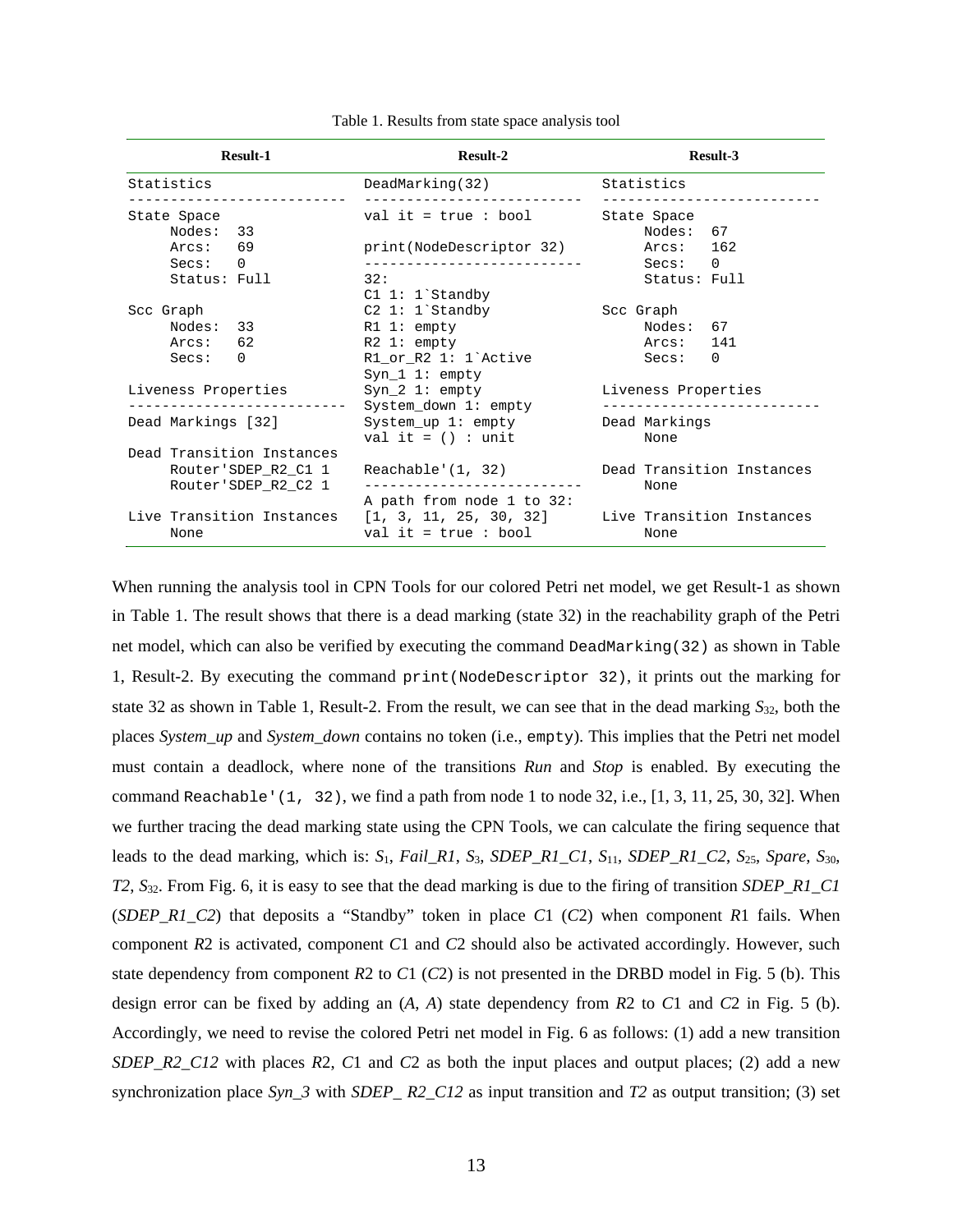| <b>Result-1</b>                               |                                                                 |                                                                         | Result-2                                                                                                 | Result-3                                       |  |
|-----------------------------------------------|-----------------------------------------------------------------|-------------------------------------------------------------------------|----------------------------------------------------------------------------------------------------------|------------------------------------------------|--|
| Statistics                                    |                                                                 |                                                                         | DeadMarking(32)                                                                                          | Statistics                                     |  |
|                                               | State Space<br>Nodes: 33<br>Arcs: 69<br>Secs: 0<br>Status: Full |                                                                         | val it = $true : bool$ State Space<br>print(NodeDescriptor 32) Arcs: 162<br>32:<br>$Cl 1: 1$ `Standby    | Nodes: 67<br>Secs: 0<br>Status: Full           |  |
| Scc Graph                                     | Nodes: 33<br>Arcs: 62<br>Secs: 0                                |                                                                         | $C2$ 1: 1`Standby<br>R1 1: empty<br>R2 1: empty<br>R1_or_R2_1: 1`Active<br>$Syn_1:$ empty                | Scc Graph<br>Nodes: 67<br>Arcs: 141<br>Secs: 0 |  |
| Liveness Properties<br>---------------------- |                                                                 |                                                                         | $Syn_2 1: empty$<br>System_down 1: empty                                                                 | Liveness Properties                            |  |
| Dead Markings [32]                            |                                                                 |                                                                         | System up 1: empty Dead Markings<br>val it = $()$ : unit                                                 | None                                           |  |
|                                               |                                                                 | Dead Transition Instances<br>Router'SDEP R2_C1_1<br>Router'SDEP R2 C2 1 | Reachable'(1, 32) Dead Transition Instances<br>A path from node 1 to 32:                                 | None                                           |  |
|                                               | None                                                            | Live Transition Instances                                               | $\begin{bmatrix} 1, 3, 11, 25, 30, 32 \end{bmatrix}$ Live Transition Instances<br>$val$ it = true : bool | None                                           |  |

Table 1. Results from state space analysis tool

When running the analysis tool in CPN Tools for our colored Petri net model, we get Result-1 as shown in Table 1. The result shows that there is a dead marking (state 32) in the reachability graph of the Petri net model, which can also be verified by executing the command DeadMarking(32) as shown in Table 1, Result-2. By executing the command print(NodeDescriptor 32), it prints out the marking for state 32 as shown in Table 1, Result-2. From the result, we can see that in the dead marking *S*32, both the places *System\_up* and *System\_down* contains no token (i.e., empty). This implies that the Petri net model must contain a deadlock, where none of the transitions *Run* and *Stop* is enabled. By executing the command Reachable'(1,  $32$ ), we find a path from node 1 to node 32, i.e., [1, 3, 11, 25, 30, 32]. When we further tracing the dead marking state using the CPN Tools, we can calculate the firing sequence that leads to the dead marking, which is: *S*1, *Fail\_R1*, *S*3, *SDEP\_R1\_C1*, *S*11, *SDEP\_R1\_C2*, *S*25, *Spare*, *S*30, *T2*, *S*32. From Fig. 6, it is easy to see that the dead marking is due to the firing of transition *SDEP\_R1\_C1* (*SDEP\_R1\_C2*) that deposits a "Standby" token in place *C*1 (*C*2) when component *R*1 fails. When component *R*2 is activated, component *C*1 and *C*2 should also be activated accordingly. However, such state dependency from component *R*2 to *C*1 (*C*2) is not presented in the DRBD model in Fig. 5 (b). This design error can be fixed by adding an (*A*, *A*) state dependency from *R*2 to *C*1 and *C*2 in Fig. 5 (b). Accordingly, we need to revise the colored Petri net model in Fig. 6 as follows: (1) add a new transition *SDEP\_R2\_C12* with places *R*2, *C*1 and *C*2 as both the input places and output places; (2) add a new synchronization place *Syn\_3* with *SDEP\_ R2\_C12* as input transition and *T2* as output transition; (3) set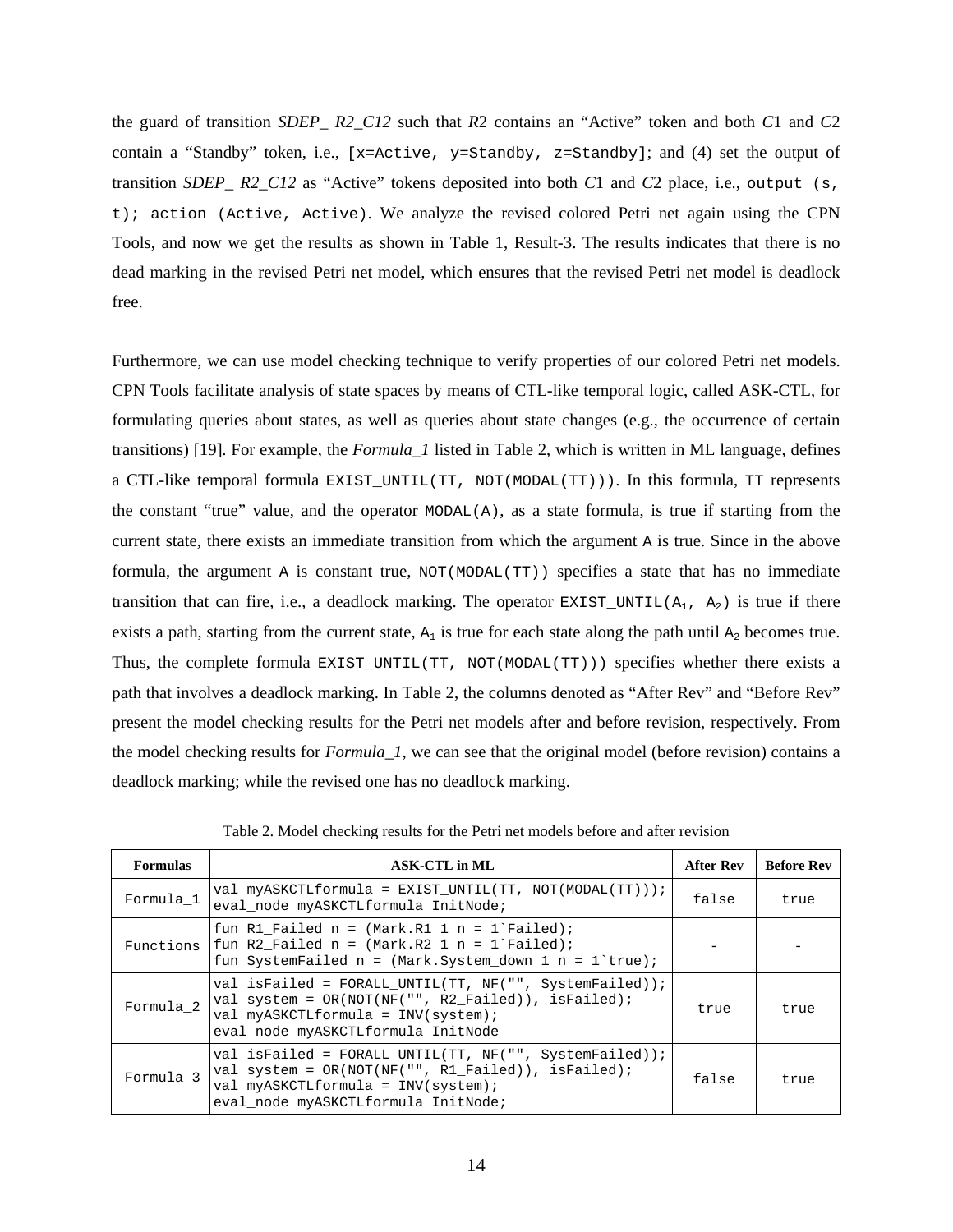the guard of transition *SDEP\_ R2\_C12* such that *R*2 contains an "Active" token and both *C*1 and *C*2 contain a "Standby" token, i.e., [x=Active, y=Standby, z=Standby]; and (4) set the output of transition *SDEP\_ R2\_C12* as "Active" tokens deposited into both *C*1 and *C*2 place, i.e., output (s, t); action (Active, Active). We analyze the revised colored Petri net again using the CPN Tools, and now we get the results as shown in Table 1, Result-3. The results indicates that there is no dead marking in the revised Petri net model, which ensures that the revised Petri net model is deadlock free.

Furthermore, we can use model checking technique to verify properties of our colored Petri net models. CPN Tools facilitate analysis of state spaces by means of CTL-like temporal logic, called ASK-CTL, for formulating queries about states, as well as queries about state changes (e.g., the occurrence of certain transitions) [19]. For example, the *Formula\_1* listed in Table 2, which is written in ML language, defines a CTL-like temporal formula EXIST\_UNTIL(TT, NOT(MODAL(TT))). In this formula, TT represents the constant "true" value, and the operator  $MODAL(A)$ , as a state formula, is true if starting from the current state, there exists an immediate transition from which the argument A is true. Since in the above formula, the argument A is constant true,  $NOT(MODAL(TT))$  specifies a state that has no immediate transition that can fire, i.e., a deadlock marking. The operator  $\text{EXIST\_UNITIL}(A_1, A_2)$  is true if there exists a path, starting from the current state,  $A_1$  is true for each state along the path until  $A_2$  becomes true. Thus, the complete formula EXIST\_UNTIL(TT, NOT(MODAL(TT))) specifies whether there exists a path that involves a deadlock marking. In Table 2, the columns denoted as "After Rev" and "Before Rev" present the model checking results for the Petri net models after and before revision, respectively. From the model checking results for *Formula\_1*, we can see that the original model (before revision) contains a deadlock marking; while the revised one has no deadlock marking.

| <b>Formulas</b> | <b>ASK-CTL in ML</b>                                                                                                                                                                               | After Rev | <b>Before Rev</b> |
|-----------------|----------------------------------------------------------------------------------------------------------------------------------------------------------------------------------------------------|-----------|-------------------|
| Formula_1       | val myASKCTLformula = EXIST_UNTIL(TT, NOT(MODAL(TT)));<br>eval node myASKCTLformula InitNode;                                                                                                      | false     | true              |
| Functions       | fun R1 Failed $n = (Mark.R1 1 n = 1'False)$ ;<br>  fun R2 Failed $n = (Mark.R2 1 n = 1'False)$ ;<br>fun SystemFailed $n = (Mark.System down 1 n = 1'true)$ ;                                       |           |                   |
| Formula 2       | val isFailed = FORALL UNTIL(TT, NF("", SystemFailed));<br>val system = $OR(NOT(NF("", R2 Failed)), isFailed);$<br>val myASKCTLformula = INV(system);<br>eval node myASKCTLformula InitNode         | true      | true              |
| Formula 3       | val is Failed = FORALL UNTIL(TT, $NF(''', SystemField))$ ;<br>val system = $OR(NOT(NF("", R1_Failed)), isFailed);$<br>val myASKCTLformula = $INV(system)$ ;<br>eval node myASKCTLformula InitNode; | false     | true              |

Table 2. Model checking results for the Petri net models before and after revision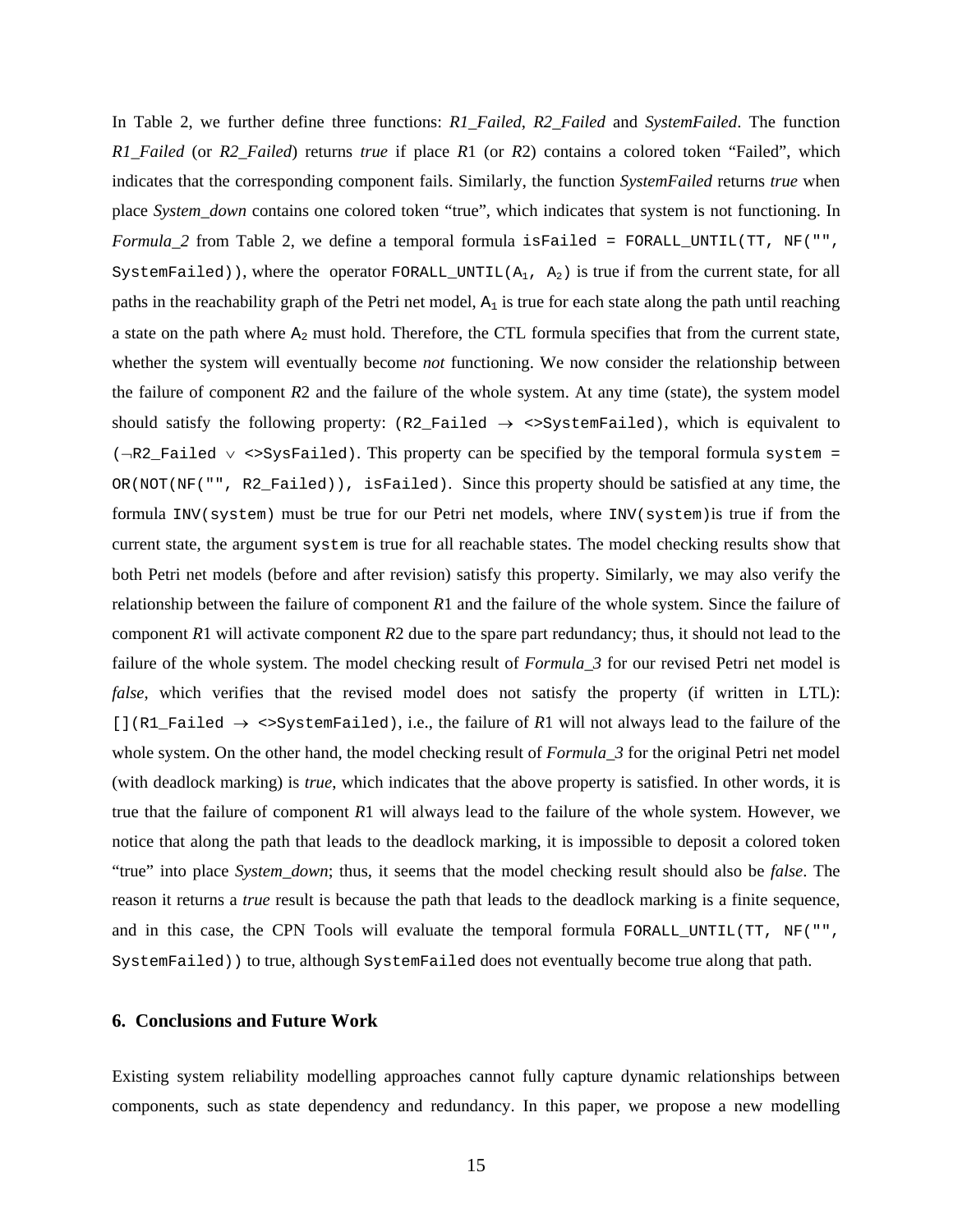In Table 2, we further define three functions: *R1\_Failed*, *R2\_Failed* and *SystemFailed*. The function *R1\_Failed* (or *R2\_Failed*) returns *true* if place *R*1 (or *R*2) contains a colored token "Failed", which indicates that the corresponding component fails. Similarly, the function *SystemFailed* returns *true* when place *System\_down* contains one colored token "true", which indicates that system is not functioning. In *Formula\_2* from Table 2, we define a temporal formula isFailed = FORALL\_UNTIL(TT, NF("", SystemFailed)), where the operator FORALL\_UNTIL( $A_1$ ,  $A_2$ ) is true if from the current state, for all paths in the reachability graph of the Petri net model,  $A_1$  is true for each state along the path until reaching a state on the path where  $A_2$  must hold. Therefore, the CTL formula specifies that from the current state, whether the system will eventually become *not* functioning. We now consider the relationship between the failure of component *R*2 and the failure of the whole system. At any time (state), the system model should satisfy the following property:  $(R2_F \text{Ailed} \rightarrow \langle \rangle)$  >  $S$ ystemFailed), which is equivalent to (¬R2\_Failed ∨ <>SysFailed). This property can be specified by the temporal formula system = OR(NOT(NF("", R2\_Failed)), isFailed). Since this property should be satisfied at any time, the formula INV(system) must be true for our Petri net models, where INV(system)is true if from the current state, the argument system is true for all reachable states. The model checking results show that both Petri net models (before and after revision) satisfy this property. Similarly, we may also verify the relationship between the failure of component *R*1 and the failure of the whole system. Since the failure of component *R*1 will activate component *R*2 due to the spare part redundancy; thus, it should not lead to the failure of the whole system. The model checking result of *Formula\_3* for our revised Petri net model is *false*, which verifies that the revised model does not satisfy the property (if written in LTL): [](R1\_Failed → <>SystemFailed), i.e., the failure of *R*1 will not always lead to the failure of the whole system. On the other hand, the model checking result of *Formula\_3* for the original Petri net model (with deadlock marking) is *true*, which indicates that the above property is satisfied. In other words, it is true that the failure of component *R*1 will always lead to the failure of the whole system. However, we notice that along the path that leads to the deadlock marking, it is impossible to deposit a colored token "true" into place *System\_down*; thus, it seems that the model checking result should also be *false*. The reason it returns a *true* result is because the path that leads to the deadlock marking is a finite sequence, and in this case, the CPN Tools will evaluate the temporal formula FORALL\_UNTIL(TT, NF("", SystemFailed)) to true, although SystemFailed does not eventually become true along that path.

## **6. Conclusions and Future Work**

Existing system reliability modelling approaches cannot fully capture dynamic relationships between components, such as state dependency and redundancy. In this paper, we propose a new modelling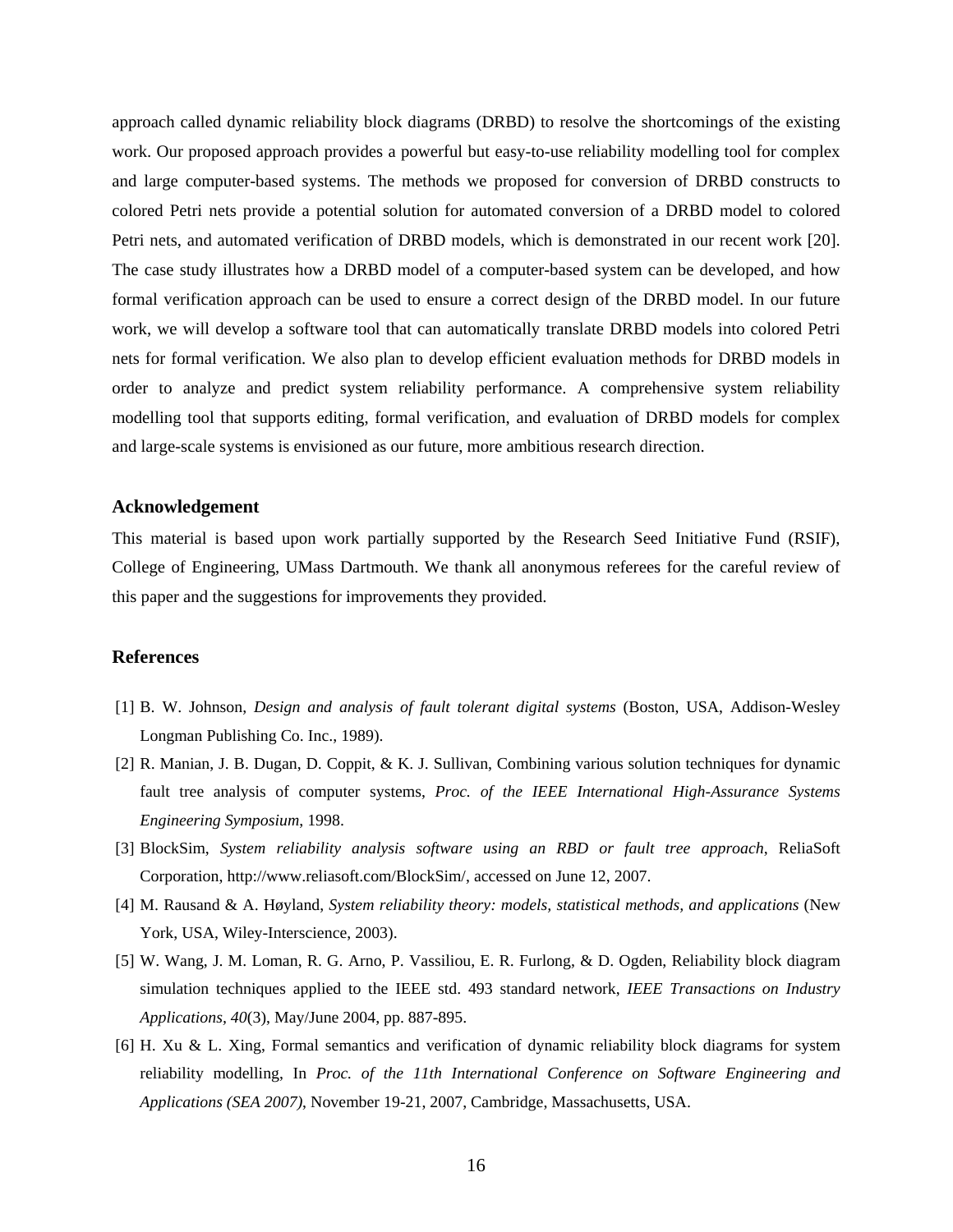approach called dynamic reliability block diagrams (DRBD) to resolve the shortcomings of the existing work. Our proposed approach provides a powerful but easy-to-use reliability modelling tool for complex and large computer-based systems. The methods we proposed for conversion of DRBD constructs to colored Petri nets provide a potential solution for automated conversion of a DRBD model to colored Petri nets, and automated verification of DRBD models, which is demonstrated in our recent work [20]. The case study illustrates how a DRBD model of a computer-based system can be developed, and how formal verification approach can be used to ensure a correct design of the DRBD model. In our future work, we will develop a software tool that can automatically translate DRBD models into colored Petri nets for formal verification. We also plan to develop efficient evaluation methods for DRBD models in order to analyze and predict system reliability performance. A comprehensive system reliability modelling tool that supports editing, formal verification, and evaluation of DRBD models for complex and large-scale systems is envisioned as our future, more ambitious research direction.

## **Acknowledgement**

This material is based upon work partially supported by the Research Seed Initiative Fund (RSIF), College of Engineering, UMass Dartmouth. We thank all anonymous referees for the careful review of this paper and the suggestions for improvements they provided.

## **References**

- [1] B. W. Johnson, *Design and analysis of fault tolerant digital systems* (Boston, USA, Addison-Wesley Longman Publishing Co. Inc., 1989).
- [2] R. Manian, J. B. Dugan, D. Coppit, & K. J. Sullivan, Combining various solution techniques for dynamic fault tree analysis of computer systems, *Proc. of the IEEE International High-Assurance Systems Engineering Symposium*, 1998.
- [3] BlockSim, *System reliability analysis software using an RBD or fault tree approach*, ReliaSoft Corporation, http://www.reliasoft.com/BlockSim/, accessed on June 12, 2007.
- [4] M. Rausand & A. Høyland, *System reliability theory: models, statistical methods, and applications* (New York, USA, Wiley-Interscience, 2003).
- [5] W. Wang, J. M. Loman, R. G. Arno, P. Vassiliou, E. R. Furlong, & D. Ogden, Reliability block diagram simulation techniques applied to the IEEE std. 493 standard network, *IEEE Transactions on Industry Applications, 40*(3), May/June 2004, pp. 887-895.
- [6] H. Xu & L. Xing, Formal semantics and verification of dynamic reliability block diagrams for system reliability modelling, In *Proc. of the 11th International Conference on Software Engineering and Applications (SEA 2007)*, November 19-21, 2007, Cambridge, Massachusetts, USA.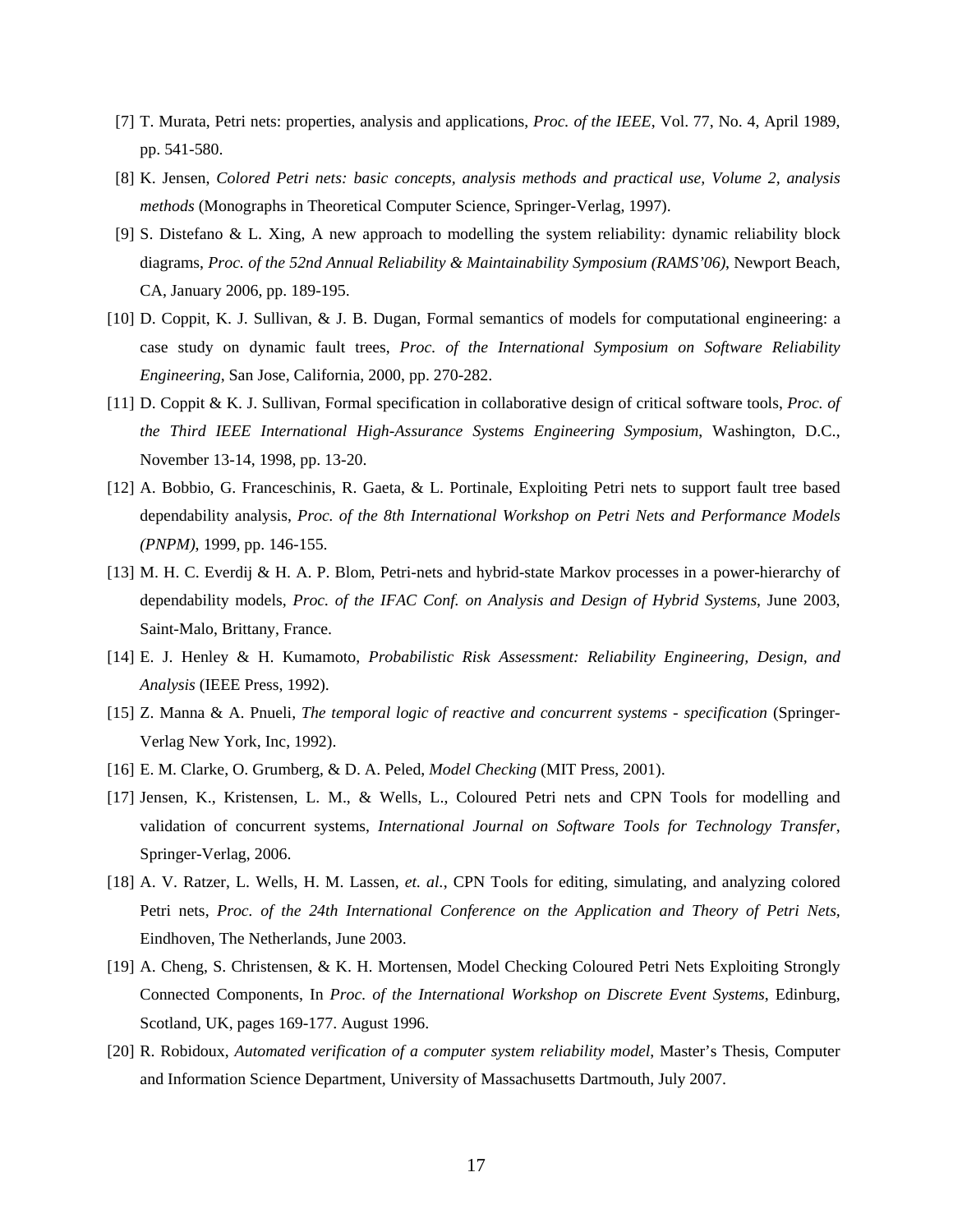- [7] T. Murata, Petri nets: properties, analysis and applications, *Proc. of the IEEE*, Vol. 77, No. 4, April 1989, pp. 541-580.
- [8] K. Jensen, *Colored Petri nets: basic concepts, analysis methods and practical use, Volume 2, analysis methods* (Monographs in Theoretical Computer Science, Springer-Verlag, 1997).
- [9] S. Distefano & L. Xing, A new approach to modelling the system reliability: dynamic reliability block diagrams, *Proc. of the 52nd Annual Reliability & Maintainability Symposium (RAMS'06)*, Newport Beach, CA, January 2006, pp. 189-195.
- [10] D. Coppit, K. J. Sullivan, & J. B. Dugan, Formal semantics of models for computational engineering: a case study on dynamic fault trees, *Proc. of the International Symposium on Software Reliability Engineering*, San Jose, California, 2000, pp. 270-282.
- [11] D. Coppit & K. J. Sullivan, Formal specification in collaborative design of critical software tools, *Proc. of the Third IEEE International High-Assurance Systems Engineering Symposium*, Washington, D.C., November 13-14, 1998, pp. 13-20.
- [12] A. Bobbio, G. Franceschinis, R. Gaeta, & L. Portinale, Exploiting Petri nets to support fault tree based dependability analysis, *Proc. of the 8th International Workshop on Petri Nets and Performance Models (PNPM)*, 1999, pp. 146-155.
- [13] M. H. C. Everdij & H. A. P. Blom, Petri-nets and hybrid-state Markov processes in a power-hierarchy of dependability models, *Proc. of the IFAC Conf. on Analysis and Design of Hybrid Systems*, June 2003, Saint-Malo, Brittany, France.
- [14] E. J. Henley & H. Kumamoto, *Probabilistic Risk Assessment: Reliability Engineering, Design, and Analysis* (IEEE Press, 1992).
- [15] Z. Manna & A. Pnueli, *The temporal logic of reactive and concurrent systems specification* (Springer-Verlag New York, Inc, 1992).
- [16] E. M. Clarke, O. Grumberg, & D. A. Peled, *Model Checking* (MIT Press, 2001).
- [17] Jensen, K., Kristensen, L. M., & Wells, L., Coloured Petri nets and CPN Tools for modelling and validation of concurrent systems, *International Journal on Software Tools for Technology Transfer*, Springer-Verlag, 2006.
- [18] A. V. Ratzer, L. Wells, H. M. Lassen, *et. al.*, CPN Tools for editing, simulating, and analyzing colored Petri nets, *Proc. of the 24th International Conference on the Application and Theory of Petri Nets,*  Eindhoven, The Netherlands, June 2003.
- [19] A. Cheng, S. Christensen, & K. H. Mortensen, Model Checking Coloured Petri Nets Exploiting Strongly Connected Components, In *Proc. of the International Workshop on Discrete Event Systems*, Edinburg, Scotland, UK, pages 169-177. August 1996.
- [20] R. Robidoux, *Automated verification of a computer system reliability model*, Master's Thesis, Computer and Information Science Department, University of Massachusetts Dartmouth, July 2007.